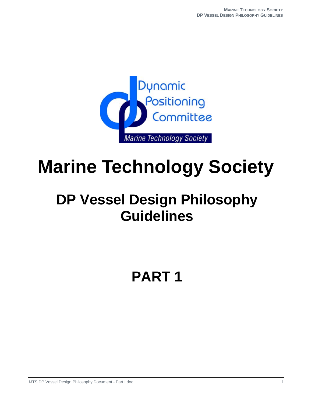

# **Marine Technology Society**

## **DP Vessel Design Philosophy Guidelines**

## **PART 1**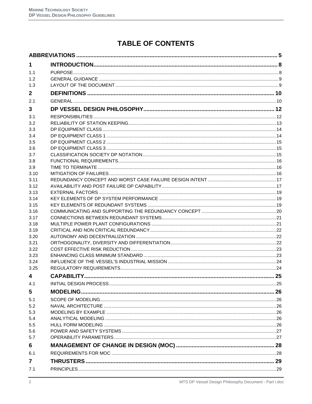## **TABLE OF CONTENTS**

| 1                |  |
|------------------|--|
| 1.1              |  |
| 1.2 <sub>1</sub> |  |
| 1.3              |  |
| $\mathbf{2}$     |  |
| 2.1              |  |
| 3                |  |
| 3.1              |  |
| 3.2              |  |
| 3.3              |  |
| 3.4              |  |
| 3.5              |  |
| 3.6              |  |
| 3.7              |  |
| 3.8              |  |
| 3.9              |  |
| 3.10             |  |
| 3.11             |  |
| 3.12             |  |
| 3.13             |  |
| 3.14             |  |
| 3.15             |  |
| 3.16             |  |
| 3.17             |  |
| 3.18             |  |
| 3.19             |  |
| 3.20             |  |
| 3.21             |  |
| 3.22             |  |
| 3.23             |  |
| 3.24             |  |
| 3.25             |  |
| 4                |  |
| 4.1              |  |
| 5                |  |
| 5.1              |  |
| 5.2              |  |
| 5.3              |  |
| 5.4              |  |
| 5.5              |  |
| 5.6              |  |
| 5.7              |  |
| 6                |  |
| 6.1              |  |
| $\overline{7}$   |  |
| 7.1              |  |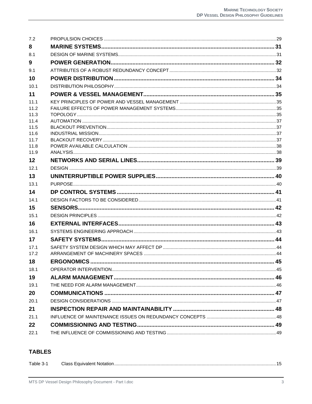| 7.2          |  |
|--------------|--|
| 8            |  |
| 8.1          |  |
| 9            |  |
| 9.1          |  |
| 10           |  |
| 10.1         |  |
| 11           |  |
| 11.1         |  |
| 11.2         |  |
| 11.3         |  |
| 11.4<br>11.5 |  |
| 11.6         |  |
| 11.7         |  |
| 11.8         |  |
| 11.9         |  |
| 12           |  |
| 12.1         |  |
| 13           |  |
| 13.1         |  |
| 14           |  |
| 14.1         |  |
| 15           |  |
| 15.1         |  |
| 16           |  |
| 16.1         |  |
| 17           |  |
| 17.1         |  |
| 17.2         |  |
| 18           |  |
| 18.1         |  |
| 19           |  |
| 19.1         |  |
| 20           |  |
| 20.1         |  |
| 21           |  |
| 21.1         |  |
| 22           |  |
| 22.1         |  |
|              |  |

## **TABLES**

| Table 3-1 |  |  |  |
|-----------|--|--|--|
|-----------|--|--|--|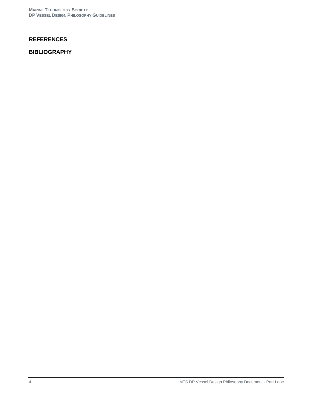## **REFERENCES**

## **BIBLIOGRAPHY**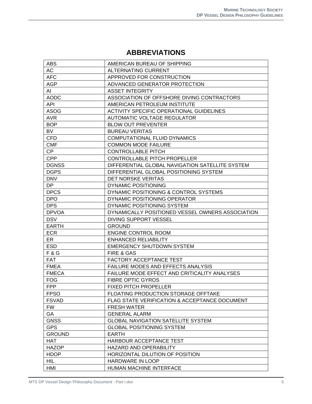## **ABBREVIATIONS**

| <b>ABS</b>        | AMERICAN BUREAU OF SHIPPING                      |
|-------------------|--------------------------------------------------|
| AC                | ALTERNATING CURRENT                              |
| <b>AFC</b>        | APPROVED FOR CONSTRUCTION                        |
| <b>AGP</b>        | ADVANCED GENERATOR PROTECTION                    |
| AI                | <b>ASSET INTEGRITY</b>                           |
| <b>AODC</b>       | ASSOCIATION OF OFFSHORE DIVING CONTRACTORS       |
| API               | AMERICAN PETROLEUM INSTITUTE                     |
| <b>ASOG</b>       | <b>ACTIVITY SPECIFIC OPERATIONAL GUIDELINES</b>  |
| <b>AVR</b>        | <b>AUTOMATIC VOLTAGE REGULATOR</b>               |
| <b>BOP</b>        | <b>BLOW OUT PREVENTER</b>                        |
| BV                | <b>BUREAU VERITAS</b>                            |
| <b>CFD</b>        | COMPUTATIONAL FLUID DYNAMICS                     |
| <b>CMF</b>        | <b>COMMON MODE FAILURE</b>                       |
| CP                | <b>CONTROLLABLE PITCH</b>                        |
| <b>CPP</b>        | CONTROLLABLE PITCH PROPELLER                     |
| <b>DGNSS</b>      | DIFFERENTIAL GLOBAL NAVIGATION SATELLITE SYSTEM  |
| <b>DGPS</b>       | DIFFERENTIAL GLOBAL POSITIONING SYSTEM           |
| <b>DNV</b>        | DET NORSKE VERITAS                               |
| DP                | DYNAMIC POSITIONING                              |
| <b>DPCS</b>       | DYNAMIC POSITIONING & CONTROL SYSTEMS            |
| <b>DPO</b>        | DYNAMIC POSITIONING OPERATOR                     |
| <b>DPS</b>        | DYNAMIC POSITIONING SYSTEM                       |
| <b>DPVOA</b>      | DYNAMICALLY POSITIONED VESSEL OWNERS ASSOCIATION |
| <b>DSV</b>        | DIVING SUPPORT VESSEL                            |
| <b>EARTH</b>      | <b>GROUND</b>                                    |
| <b>ECR</b>        | <b>ENGINE CONTROL ROOM</b>                       |
| ER                | <b>ENHANCED RELIABILITY</b>                      |
| <b>ESD</b>        | <b>EMERGENCY SHUTDOWN SYSTEM</b>                 |
| <b>F&amp;G</b>    | FIRE & GAS                                       |
| <b>FAT</b>        | <b>FACTORY ACCEPTANCE TEST</b>                   |
| <b>FMEA</b>       | FAILURE MODES AND EFFECTS ANALYSIS               |
| <b>FMECA</b>      | FAILURE MODE EFFECT AND CRITICALITY ANALYSES     |
| <b>FOG</b>        | <b>FIBRE OPTIC GYROS</b>                         |
| <b>FPP</b>        | <b>FIXED PITCH PROPELLER</b>                     |
| <b>FPSO</b>       | FLOATING PRODUCTION STORAGE OFFTAKE              |
| <b>FSVAD</b>      | FLAG STATE VERIFICATION & ACCEPTANCE DOCUMENT    |
| <b>FW</b>         | <b>FRESH WATER</b>                               |
| GA                | <b>GENERAL ALARM</b>                             |
| <b>GNSS</b>       | <b>GLOBAL NAVIGATION SATELLITE SYSTEM</b>        |
| <b>GPS</b>        | <b>GLOBAL POSITIONING SYSTEM</b>                 |
| <b>GROUND</b>     | <b>EARTH</b>                                     |
| <b>HAT</b>        |                                                  |
|                   | HARBOUR ACCEPTANCE TEST                          |
| <b>HAZOP</b>      | <b>HAZARD AND OPERABILITY</b>                    |
|                   |                                                  |
| <b>HDOP</b>       | HORIZONTAL DILUTION OF POSITION                  |
| <b>HIL</b><br>HMI | HARDWARE IN LOOP<br>HUMAN MACHINE INTERFACE      |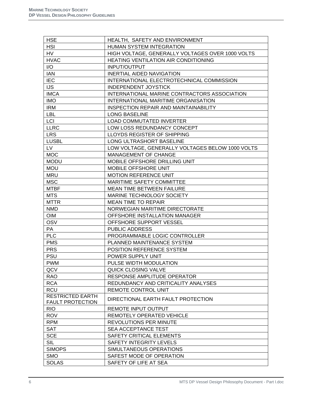| <b>HSE</b>                                         | HEALTH, SAFETY AND ENVIRONMENT                   |
|----------------------------------------------------|--------------------------------------------------|
| <b>HSI</b>                                         | HUMAN SYSTEM INTEGRATION                         |
| <b>HV</b>                                          | HIGH VOLTAGE, GENERALLY VOLTAGES OVER 1000 VOLTS |
| <b>HVAC</b>                                        | <b>HEATING VENTILATION AIR CONDITIONING</b>      |
| I/O                                                | <b>INPUT/OUTPUT</b>                              |
| <b>IAN</b>                                         | <b>INERTIAL AIDED NAVIGATION</b>                 |
| <b>IEC</b>                                         | INTERNATIONAL ELECTROTECHNICAL COMMISSION        |
| <b>IJS</b>                                         | <b>INDEPENDENT JOYSTICK</b>                      |
| <b>IMCA</b>                                        | INTERNATIONAL MARINE CONTRACTORS ASSOCIATION     |
| <b>IMO</b>                                         | INTERNATIONAL MARITIME ORGANISATION              |
| <b>IRM</b>                                         | INSPECTION REPAIR AND MAINTAINABILITY            |
| <b>LBL</b>                                         | <b>LONG BASELINE</b>                             |
| LCI                                                | LOAD COMMUTATED INVERTER                         |
| <b>LLRC</b>                                        | LOW LOSS REDUNDANCY CONCEPT                      |
| <b>LRS</b>                                         | LLOYDS REGISTER OF SHIPPING                      |
| <b>LUSBL</b>                                       | LONG ULTRASHORT BASELINE                         |
| LV.                                                | LOW VOLTAGE, GENERALLY VOLTAGES BELOW 1000 VOLTS |
| <b>MOC</b>                                         | MANAGEMENT OF CHANGE                             |
| <b>MODU</b>                                        | <b>MOBILE OFFSHORE DRILLING UNIT</b>             |
| <b>MOU</b>                                         | MOBILE OFFSHORE UNIT                             |
| <b>MRU</b>                                         | <b>MOTION REFERENCE UNIT</b>                     |
| <b>MSC</b>                                         | MARITIME SAFETY COMMITTEE                        |
| <b>MTBF</b>                                        | <b>MEAN TIME BETWEEN FAILURE</b>                 |
| <b>MTS</b>                                         | MARINE TECHNOLOGY SOCIETY                        |
| <b>MTTR</b>                                        | <b>MEAN TIME TO REPAIR</b>                       |
| <b>NMD</b>                                         | NORWEGIAN MARITIME DIRECTORATE                   |
| <b>OIM</b>                                         | OFFSHORE INSTALLATION MANAGER                    |
| <b>OSV</b>                                         | OFFSHORE SUPPORT VESSEL                          |
|                                                    | <b>PUBLIC ADDRESS</b>                            |
| PA<br><b>PLC</b>                                   | PROGRAMMABLE LOGIC CONTROLLER                    |
| <b>PMS</b>                                         | PLANNED MAINTENANCE SYSTEM                       |
|                                                    |                                                  |
| <b>PRS</b>                                         | POSITION REFERENCE SYSTEM<br>POWER SUPPLY UNIT   |
| <b>PSU</b>                                         |                                                  |
| <b>PWM</b>                                         | PULSE WIDTH MODULATION                           |
| QCV                                                | <b>QUICK CLOSING VALVE</b>                       |
| <b>RAO</b>                                         | RESPONSE AMPLITUDE OPERATOR                      |
| <b>RCA</b>                                         | REDUNDANCY AND CRITICALITY ANALYSES              |
| <b>RCU</b>                                         | REMOTE CONTROL UNIT                              |
| <b>RESTRICTED EARTH</b><br><b>FAULT PROTECTION</b> | DIRECTIONAL EARTH FAULT PROTECTION               |
| <b>RIO</b>                                         | REMOTE INPUT OUTPUT                              |
| <b>ROV</b>                                         | REMOTELY OPERATED VEHICLE                        |
| <b>RPM</b>                                         | REVOLUTIONS PER MINUTE                           |
| <b>SAT</b>                                         | <b>SEA ACCEPTANCE TEST</b>                       |
| <b>SCE</b>                                         | SAFETY CRITICAL ELEMENTS                         |
| <b>SIL</b>                                         | SAFETY INTEGRITY LEVELS                          |
|                                                    |                                                  |
| <b>SIMOPS</b>                                      | SIMULTANEOUS OPERATIONS                          |
| <b>SMO</b>                                         | SAFEST MODE OF OPERATION                         |
| <b>SOLAS</b>                                       | SAFETY OF LIFE AT SEA                            |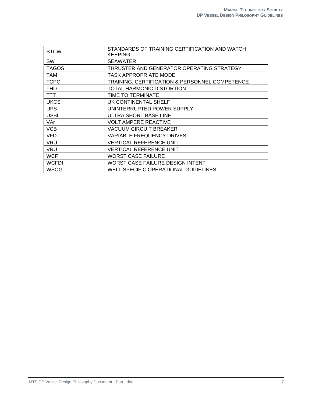| <b>STCW</b>  | STANDARDS OF TRAINING CERTIFICATION AND WATCH<br><b>KEEPING</b> |
|--------------|-----------------------------------------------------------------|
| SW           | <b>SEAWATER</b>                                                 |
| <b>TAGOS</b> | THRUSTER AND GENERATOR OPERATING STRATEGY                       |
| <b>TAM</b>   | <b>TASK APPROPRIATE MODE</b>                                    |
| <b>TCPC</b>  | TRAINING, CERTIFICATION & PERSONNEL COMPETENCE                  |
| <b>THD</b>   | TOTAL HARMONIC DISTORTION                                       |
| <b>TTT</b>   | TIME TO TERMINATE                                               |
| <b>UKCS</b>  | UK CONTINENTAL SHELF                                            |
| <b>UPS</b>   | UNINTERRUPTED POWER SUPPLY                                      |
| <b>USBL</b>  | ULTRA SHORT BASE LINE                                           |
| VAr          | <b>VOLT AMPERE REACTIVE</b>                                     |
| <b>VCB</b>   | <b>VACUUM CIRCUIT BREAKER</b>                                   |
| <b>VFD</b>   | <b>VARIABLE FREQUENCY DRIVES</b>                                |
| <b>VRU</b>   | <b>VERTICAL REFERENCE UNIT</b>                                  |
| <b>VRU</b>   | <b>VERTICAL REFERENCE UNIT</b>                                  |
| <b>WCF</b>   | <b>WORST CASE FAILURE</b>                                       |
| <b>WCFDI</b> | <b>WORST CASE FAILURE DESIGN INTENT</b>                         |
| <b>WSOG</b>  | WELL SPECIFIC OPERATIONAL GUIDELINES                            |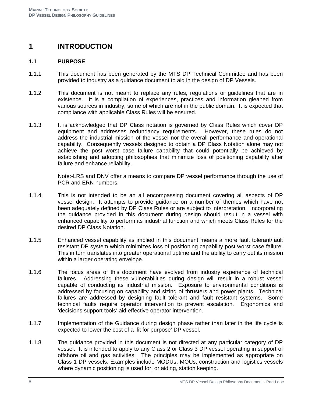## **1 INTRODUCTION**

## **1.1 PURPOSE**

- 1.1.1 This document has been generated by the MTS DP Technical Committee and has been provided to industry as a guidance document to aid in the design of DP Vessels.
- 1.1.2 This document is not meant to replace any rules, regulations or guidelines that are in existence. It is a compilation of experiences, practices and information gleaned from various sources in industry, some of which are not in the public domain. It is expected that compliance with applicable Class Rules will be ensured.
- 1.1.3 It is acknowledged that DP Class notation is governed by Class Rules which cover DP equipment and addresses redundancy requirements. However, these rules do not address the industrial mission of the vessel nor the overall performance and operational capability. Consequently vessels designed to obtain a DP Class Notation alone may not achieve the post worst case failure capability that could potentially be achieved by establishing and adopting philosophies that minimize loss of positioning capability after failure and enhance reliability.

Note:-LRS and DNV offer a means to compare DP vessel performance through the use of PCR and ERN numbers.

- 1.1.4 This is not intended to be an all encompassing document covering all aspects of DP vessel design. It attempts to provide guidance on a number of themes which have not been adequately defined by DP Class Rules or are subject to interpretation. Incorporating the guidance provided in this document during design should result in a vessel with enhanced capability to perform its industrial function and which meets Class Rules for the desired DP Class Notation.
- 1.1.5 Enhanced vessel capability as implied in this document means a more fault tolerant/fault resistant DP system which minimizes loss of positioning capability post worst case failure. This in turn translates into greater operational uptime and the ability to carry out its mission within a larger operating envelope.
- 1.1.6 The focus areas of this document have evolved from industry experience of technical failures. Addressing these vulnerabilities during design will result in a robust vessel capable of conducting its industrial mission. Exposure to environmental conditions is addressed by focusing on capability and sizing of thrusters and power plants. Technical failures are addressed by designing fault tolerant and fault resistant systems. Some technical faults require operator intervention to prevent escalation. Ergonomics and 'decisions support tools' aid effective operator intervention.
- 1.1.7 Implementation of the Guidance during design phase rather than later in the life cycle is expected to lower the cost of a 'fit for purpose' DP vessel.
- 1.1.8 The guidance provided in this document is not directed at any particular category of DP vessel. It is intended to apply to any Class 2 or Class 3 DP vessel operating in support of offshore oil and gas activities. The principles may be implemented as appropriate on Class 1 DP vessels. Examples include MODUs, MOUs, construction and logistics vessels where dynamic positioning is used for, or aiding, station keeping.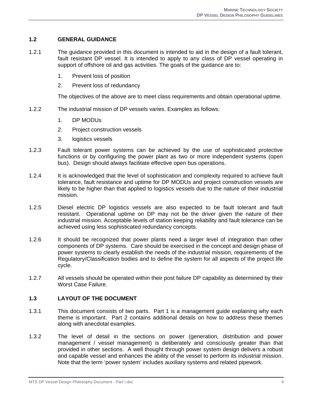## **1.2 GENERAL GUIDANCE**

- 1.2.1 The guidance provided in this document is intended to aid in the design of a fault tolerant, fault resistant DP vessel. It is intended to apply to any class of DP vessel operating in support of offshore oil and gas activities. The goals of the guidance are to:
	- 1. Prevent loss of position
	- 2. Prevent loss of redundancy

The objectives of the above are to meet class requirements and obtain operational uptime.

- 1.2.2 The industrial mission of DP vessels varies. Examples as follows:
	- 1. DP MODUs
	- 2. Project construction vessels
	- 3. logistics vessels
- 1.2.3 Fault tolerant power systems can be achieved by the use of sophisticated protective functions or by configuring the power plant as two or more independent systems (open bus). Design should always facilitate effective open bus operations.
- 1.2.4 It is acknowledged that the level of sophistication and complexity required to achieve fault tolerance, fault resistance and uptime for DP MODUs and project construction vessels are likely to be higher than that applied to logistics vessels due to the nature of their industrial mission.
- 1.2.5 Diesel electric DP logistics vessels are also expected to be fault tolerant and fault resistant. Operational uptime on DP may not be the driver given the nature of their industrial mission. Acceptable levels of station keeping reliability and fault tolerance can be achieved using less sophisticated redundancy concepts.
- 1.2.6 It should be recognized that power plants need a larger level of integration than other components of DP systems. Care should be exercised in the concept and design phase of power systems to clearly establish the needs of the industrial mission, requirements of the Regulatory/Classification bodies and to define the system for all aspects of the project life cycle.
- 1.2.7 All vessels should be operated within their post failure DP capability as determined by their Worst Case Failure.

## **1.3 LAYOUT OF THE DOCUMENT**

- 1.3.1 This document consists of two parts. Part 1 is a management guide explaining why each theme is important. Part 2 contains additional details on how to address these themes along with anecdotal examples.
- 1.3.2 The level of detail in the sections on power (generation, distribution and power management / vessel management) is deliberately and consciously greater than that provided in other sections. A well thought through power system design delivers a robust and capable vessel and enhances the ability of the vessel to perform its industrial mission. Note that the term 'power system' includes auxiliary systems and related pipework.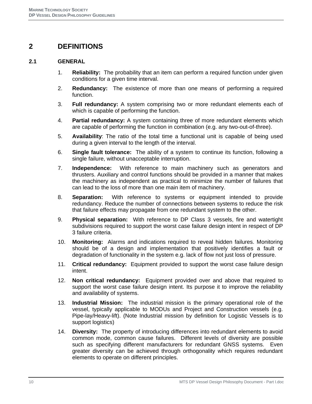## **2 DEFINITIONS**

## **2.1 GENERAL**

- 1. **Reliability:** The probability that an item can perform a required function under given conditions for a given time interval.
- 2. **Redundancy:** The existence of more than one means of performing a required function.
- 3. **Full redundancy:** A system comprising two or more redundant elements each of which is capable of performing the function.
- 4. **Partial redundancy:** A system containing three of more redundant elements which are capable of performing the function in combination (e.g. any two-out-of-three).
- 5. **Availability**: The ratio of the total time a functional unit is capable of being used during a given interval to the length of the interval.
- 6. **Single fault tolerance:** The ability of a system to continue its function, following a single failure, without unacceptable interruption.
- 7. **Independence:** With reference to main machinery such as generators and thrusters. Auxiliary and control functions should be provided in a manner that makes the machinery as independent as practical to minimize the number of failures that can lead to the loss of more than one main item of machinery.
- 8. **Separation:** With reference to systems or equipment intended to provide redundancy. Reduce the number of connections between systems to reduce the risk that failure effects may propagate from one redundant system to the other.
- 9. **Physical separation:** With reference to DP Class 3 vessels, fire and watertight subdivisions required to support the worst case failure design intent in respect of DP 3 failure criteria.
- 10. **Monitoring:** Alarms and indications required to reveal hidden failures. Monitoring should be of a design and implementation that positively identifies a fault or degradation of functionality in the system e.g. lack of flow not just loss of pressure.
- 11. **Critical redundancy:** Equipment provided to support the worst case failure design intent.
- 12. **Non critical redundancy:** Equipment provided over and above that required to support the worst case failure design intent. Its purpose it to improve the reliability and availability of systems.
- 13. **Industrial Mission:** The industrial mission is the primary operational role of the vessel, typically applicable to MODUs and Project and Construction vessels (e.g. Pipe-lay/Heavy-lift). (Note Industrial mission by definition for Logistic Vessels is to support logistics)
- 14. **Diversity:** The property of introducing differences into redundant elements to avoid common mode, common cause failures. Different levels of diversity are possible such as specifying different manufacturers for redundant GNSS systems. Even greater diversity can be achieved through orthogonality which requires redundant elements to operate on different principles.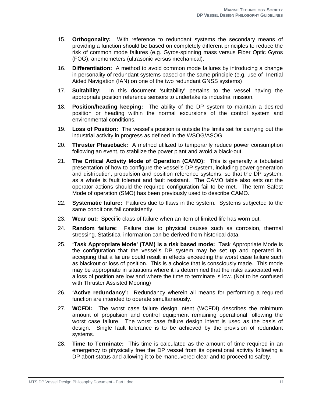- 15. **Orthogonality:** With reference to redundant systems the secondary means of providing a function should be based on completely different principles to reduce the risk of common mode failures (e.g. Gyros-spinning mass versus Fiber Optic Gyros (FOG), anemometers (ultrasonic versus mechanical).
- 16. **Differentiation:** A method to avoid common mode failures by introducing a change in personality of redundant systems based on the same principle (e.g. use of Inertial Aided Navigation (IAN) on one of the two redundant GNSS systems)
- 17. **Suitability:** In this document 'suitability' pertains to the vessel having the appropriate position reference sensors to undertake its industrial mission.
- 18. **Position/heading keeping:** The ability of the DP system to maintain a desired position or heading within the normal excursions of the control system and environmental conditions.
- 19. **Loss of Position:** The vessel's position is outside the limits set for carrying out the industrial activity in progress as defined in the WSOG/ASOG.
- 20. **Thruster Phaseback:** A method utilized to temporarily reduce power consumption following an event, to stabilize the power plant and avoid a black-out.
- 21. **The Critical Activity Mode of Operation (CAMO):** This is generally a tabulated presentation of how to configure the vessel's DP system, including power generation and distribution, propulsion and position reference systems, so that the DP system, as a whole is fault tolerant and fault resistant. The CAMO table also sets out the operator actions should the required configuration fail to be met. The term Safest Mode of operation (SMO) has been previously used to describe CAMO.
- 22. **Systematic failure:** Failures due to flaws in the system. Systems subjected to the same conditions fail consistently.
- 23. **Wear out:** Specific class of failure when an item of limited life has worn out.
- 24. **Random failure:** Failure due to physical causes such as corrosion, thermal stressing. Statistical information can be derived from historical data.
- 25. **'Task Appropriate Mode' (TAM) is a risk based mode:** Task Appropriate Mode is the configuration that the vessel's DP system may be set up and operated in, accepting that a failure could result in effects exceeding the worst case failure such as blackout or loss of position. This is a choice that is consciously made. This mode may be appropriate in situations where it is determined that the risks associated with a loss of position are low and where the time to terminate is low. (Not to be confused with Thruster Assisted Mooring)
- 26. **'Active redundancy':** Redundancy wherein all means for performing a required function are intended to operate simultaneously.
- 27. **WCFDI:** The worst case failure design intent (WCFDI) describes the minimum amount of propulsion and control equipment remaining operational following the worst case failure. The worst case failure design intent is used as the basis of design. Single fault tolerance is to be achieved by the provision of redundant systems.
- 28. **Time to Terminate:** This time is calculated as the amount of time required in an emergency to physically free the DP vessel from its operational activity following a DP abort status and allowing it to be maneuvered clear and to proceed to safety.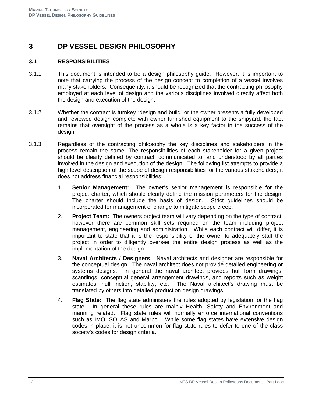## **3 DP VESSEL DESIGN PHILOSOPHY**

## **3.1 RESPONSIBILITIES**

- 3.1.1 This document is intended to be a design philosophy guide. However, it is important to note that carrying the process of the design concept to completion of a vessel involves many stakeholders. Consequently, it should be recognized that the contracting philosophy employed at each level of design and the various disciplines involved directly affect both the design and execution of the design.
- 3.1.2 Whether the contract is turnkey "design and build" or the owner presents a fully developed and reviewed design complete with owner furnished equipment to the shipyard, the fact remains that oversight of the process as a whole is a key factor in the success of the design.
- 3.1.3 Regardless of the contracting philosophy the key disciplines and stakeholders in the process remain the same. The responsibilities of each stakeholder for a given project should be clearly defined by contract, communicated to, and understood by all parties involved in the design and execution of the design. The following list attempts to provide a high level description of the scope of design responsibilities for the various stakeholders; it does not address financial responsibilities:
	- 1. **Senior Management:** The owner's senior management is responsible for the project charter, which should clearly define the mission parameters for the design. The charter should include the basis of design. Strict guidelines should be incorporated for management of change to mitigate scope creep.
	- 2. **Project Team:** The owners project team will vary depending on the type of contract, however there are common skill sets required on the team including project management, engineering and administration. While each contract will differ, it is important to state that it is the responsibility of the owner to adequately staff the project in order to diligently oversee the entire design process as well as the implementation of the design.
	- 3. **Naval Architects / Designers:** Naval architects and designer are responsible for the conceptual design. The naval architect does not provide detailed engineering or systems designs. In general the naval architect provides hull form drawings, scantlings, conceptual general arrangement drawings, and reports such as weight estimates, hull friction, stability, etc. The Naval architect's drawing must be translated by others into detailed production design drawings.
	- 4. **Flag State:** The flag state administers the rules adopted by legislation for the flag state. In general these rules are mainly Health, Safety and Environment and manning related. Flag state rules will normally enforce international conventions such as IMO, SOLAS and Marpol. While some flag states have extensive design codes in place, it is not uncommon for flag state rules to defer to one of the class society's codes for design criteria.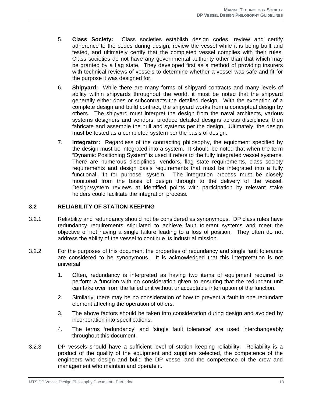- 5. **Class Society:** Class societies establish design codes, review and certify adherence to the codes during design, review the vessel while it is being built and tested, and ultimately certify that the completed vessel complies with their rules. Class societies do not have any governmental authority other than that which may be granted by a flag state. They developed first as a method of providing insurers with technical reviews of vessels to determine whether a vessel was safe and fit for the purpose it was designed for.
- 6. **Shipyard:** While there are many forms of shipyard contracts and many levels of ability within shipyards throughout the world, it must be noted that the shipyard generally either does or subcontracts the detailed design. With the exception of a complete design and build contract, the shipyard works from a conceptual design by others. The shipyard must interpret the design from the naval architects, various systems designers and vendors, produce detailed designs across disciplines, then fabricate and assemble the hull and systems per the design. Ultimately, the design must be tested as a completed system per the basis of design.
- 7. **Integrator:** Regardless of the contracting philosophy, the equipment specified by the design must be integrated into a system. It should be noted that when the term "Dynamic Positioning System" is used it refers to the fully integrated vessel systems. There are numerous disciplines, vendors, flag state requirements, class society requirements and design basis requirements that must be integrated into a fully functional, 'fit for purpose' system. The integration process must be closely monitored from the basis of design through to the delivery of the vessel. Design/system reviews at identified points with participation by relevant stake holders could facilitate the integration process.

## **3.2 RELIABILITY OF STATION KEEPING**

- 3.2.1 Reliability and redundancy should not be considered as synonymous. DP class rules have redundancy requirements stipulated to achieve fault tolerant systems and meet the objective of not having a single failure leading to a loss of position. They often do not address the ability of the vessel to continue its industrial mission.
- 3.2.2 For the purposes of this document the properties of redundancy and single fault tolerance are considered to be synonymous. It is acknowledged that this interpretation is not universal.
	- 1. Often, redundancy is interpreted as having two items of equipment required to perform a function with no consideration given to ensuring that the redundant unit can take over from the failed unit without unacceptable interruption of the function.
	- 2. Similarly, there may be no consideration of how to prevent a fault in one redundant element affecting the operation of others.
	- 3. The above factors should be taken into consideration during design and avoided by incorporation into specifications.
	- 4. The terms 'redundancy' and 'single fault tolerance' are used interchangeably throughout this document.
- 3.2.3 DP vessels should have a sufficient level of station keeping reliability. Reliability is a product of the quality of the equipment and suppliers selected, the competence of the engineers who design and build the DP vessel and the competence of the crew and management who maintain and operate it.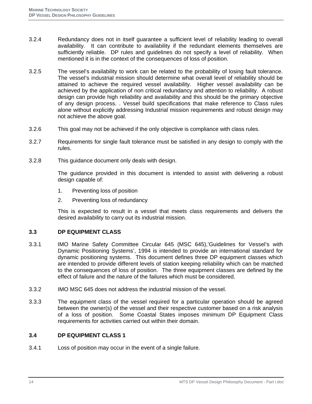- 3.2.4 Redundancy does not in itself guarantee a sufficient level of reliability leading to overall availability. It can contribute to availability if the redundant elements themselves are sufficiently reliable. DP rules and guidelines do not specify a level of reliability. When mentioned it is in the context of the consequences of loss of position.
- 3.2.5 The vessel's availability to work can be related to the probability of losing fault tolerance. The vessel's industrial mission should determine what overall level of reliability should be attained to achieve the required vessel availability. Higher vessel availability can be achieved by the application of non critical redundancy and attention to reliability. A robust design can provide high reliability and availability and this should be the primary objective of any design process. . Vessel build specifications that make reference to Class rules alone without explicitly addressing Industrial mission requirements and robust design may not achieve the above goal.
- 3.2.6 This goal may not be achieved if the only objective is compliance with class rules.
- 3.2.7 Requirements for single fault tolerance must be satisfied in any design to comply with the rules.
- 3.2.8 This guidance document only deals with design.

The guidance provided in this document is intended to assist with delivering a robust design capable of:

- 1. Preventing loss of position
- 2. Preventing loss of redundancy

This is expected to result in a vessel that meets class requirements and delivers the desired availability to carry out its industrial mission.

## **3.3 DP EQUIPMENT CLASS**

- 3.3.1 IMO Marine Safety Committee Circular 645 (MSC 645),'Guidelines for Vessel's with Dynamic Positioning Systems', 1994 is intended to provide an international standard for dynamic positioning systems. This document defines three DP equipment classes which are intended to provide different levels of station keeping reliability which can be matched to the consequences of loss of position. The three equipment classes are defined by the effect of failure and the nature of the failures which must be considered.
- 3.3.2 IMO MSC 645 does not address the industrial mission of the vessel.
- 3.3.3 The equipment class of the vessel required for a particular operation should be agreed between the owner(s) of the vessel and their respective customer based on a risk analysis of a loss of position. Some Coastal States imposes minimum DP Equipment Class requirements for activities carried out within their domain.

## **3.4 DP EQUIPMENT CLASS 1**

3.4.1 Loss of position may occur in the event of a single failure.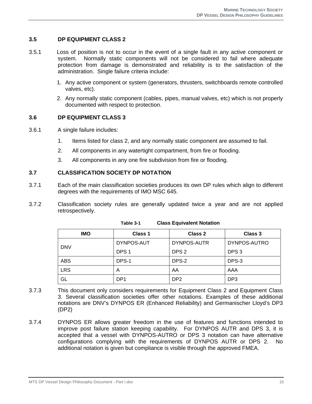## **3.5 DP EQUIPMENT CLASS 2**

- 3.5.1 Loss of position is not to occur in the event of a single fault in any active component or system. Normally static components will not be considered to fail where adequate protection from damage is demonstrated and reliability is to the satisfaction of the administration. Single failure criteria include:
	- 1. Any active component or system (generators, thrusters, switchboards remote controlled valves, etc).
	- 2. Any normally static component (cables, pipes, manual valves, etc) which is not properly documented with respect to protection.

#### **3.6 DP EQUIPMENT CLASS 3**

- 3.6.1 A single failure includes:
	- 1. Items listed for class 2, and any normally static component are assumed to fail.
	- 2. All components in any watertight compartment, from fire or flooding.
	- 3. All components in any one fire subdivision from fire or flooding.

## **3.7 CLASSIFICATION SOCIETY DP NOTATION**

- 3.7.1 Each of the main classification societies produces its own DP rules which align to different degrees with the requirements of IMO MSC 645.
- 3.7.2 Classification society rules are generally updated twice a year and are not applied retrospectively.

| <b>IMO</b> | Class 1          | Class 2          | Class 3          |
|------------|------------------|------------------|------------------|
| <b>DNV</b> | DYNPOS-AUT       | DYNPOS-AUTR      | DYNPOS-AUTRO     |
|            | DPS <sub>1</sub> | DPS <sub>2</sub> | DPS <sub>3</sub> |
| <b>ABS</b> | DPS-1            | DPS-2            | DPS-3            |
| <b>LRS</b> | A                | AA               | AAA              |
| GL         | DP <sub>1</sub>  | DP <sub>2</sub>  | DP <sub>3</sub>  |

**Table 3-1 Class Equivalent Notation**

- 3.7.3 This document only considers requirements for Equipment Class 2 and Equipment Class 3. Several classification societies offer other notations. Examples of these additional notations are DNV's DYNPOS ER (Enhanced Reliability) and Germanischer Lloyd's DP3 (DP2)
- 3.7.4 DYNPOS ER allows greater freedom in the use of features and functions intended to improve post failure station keeping capability. For DYNPOS AUTR and DPS 3, it is accepted that a vessel with DYNPOS-AUTRO or DPS 3 notation can have alternative configurations complying with the requirements of DYNPOS AUTR or DPS 2. No additional notation is given but compliance is visible through the approved FMEA.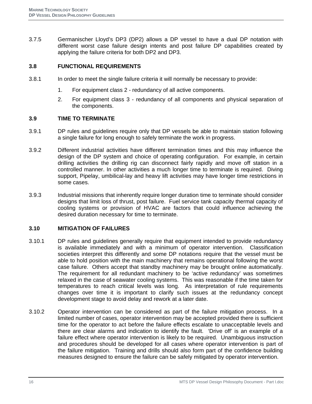3.7.5 Germanischer Lloyd's DP3 (DP2) allows a DP vessel to have a dual DP notation with different worst case failure design intents and post failure DP capabilities created by applying the failure criteria for both DP2 and DP3.

## **3.8 FUNCTIONAL REQUIREMENTS**

- 3.8.1 In order to meet the single failure criteria it will normally be necessary to provide:
	- 1. For equipment class 2 redundancy of all active components.
	- 2. For equipment class 3 redundancy of all components and physical separation of the components.

#### **3.9 TIME TO TERMINATE**

- 3.9.1 DP rules and guidelines require only that DP vessels be able to maintain station following a single failure for long enough to safely terminate the work in progress.
- 3.9.2 Different industrial activities have different termination times and this may influence the design of the DP system and choice of operating configuration. For example, in certain drilling activities the drilling rig can disconnect fairly rapidly and move off station in a controlled manner. In other activities a much longer time to terminate is required. Diving support, Pipelay, umbilical-lay and heavy lift activities may have longer time restrictions in some cases.
- 3.9.3 Industrial missions that inherently require longer duration time to terminate should consider designs that limit loss of thrust, post failure. Fuel service tank capacity thermal capacity of cooling systems or provision of HVAC are factors that could influence achieving the desired duration necessary for time to terminate.

## **3.10 MITIGATION OF FAILURES**

- 3.10.1 DP rules and guidelines generally require that equipment intended to provide redundancy is available immediately and with a minimum of operator intervention. Classification societies interpret this differently and some DP notations require that the vessel must be able to hold position with the main machinery that remains operational following the worst case failure. Others accept that standby machinery may be brought online automatically. The requirement for all redundant machinery to be 'active redundancy' was sometimes relaxed in the case of seawater cooling systems. This was reasonable if the time taken for temperatures to reach critical levels was long. As interpretation of rule requirements changes over time it is important to clarify such issues at the redundancy concept development stage to avoid delay and rework at a later date.
- 3.10.2 Operator intervention can be considered as part of the failure mitigation process. In a limited number of cases, operator intervention may be accepted provided there is sufficient time for the operator to act before the failure effects escalate to unacceptable levels and there are clear alarms and indication to identify the fault. 'Drive off' is an example of a failure effect where operator intervention is likely to be required. Unambiguous instruction and procedures should be developed for all cases where operator intervention is part of the failure mitigation. Training and drills should also form part of the confidence building measures designed to ensure the failure can be safely mitigated by operator intervention.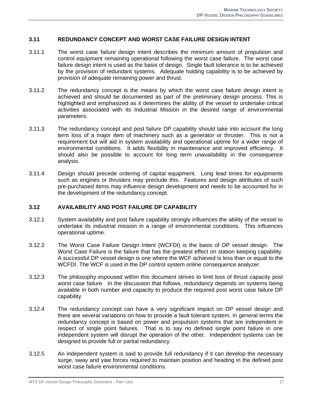#### **3.11 REDUNDANCY CONCEPT AND WORST CASE FAILURE DESIGN INTENT**

- 3.11.1 The worst case failure design intent describes the minimum amount of propulsion and control equipment remaining operational following the worst case failure. The worst case failure design intent is used as the basis of design. Single fault tolerance is to be achieved by the provision of redundant systems. Adequate holding capability is to be achieved by provision of adequate remaining power and thrust.
- 3.11.2 The redundancy concept is the means by which the worst case failure design intent is achieved and should be documented as part of the preliminary design process. This is highlighted and emphasized as it determines the ability of the vessel to undertake critical activities associated with its Industrial Mission in the desired range of environmental parameters.
- 3.11.3 The redundancy concept and post failure DP capability should take into account the long term loss of a major item of machinery such as a generator or thruster. This is not a requirement but will aid in system availability and operational uptime for a wider range of environmental conditions. It adds flexibility in maintenance and improved efficiency. It should also be possible to account for long term unavailability in the consequence analysis.
- 3.11.4 Design should precede ordering of capital equipment. Long lead times for equipments such as engines or thrusters may preclude this. Features and design attributes of such pre-purchased items may influence design development and needs to be accounted for in the development of the redundancy concept.

#### **3.12 AVAILABILITY AND POST FAILURE DP CAPABILITY**

- 3.12.1 System availability and post failure capability strongly influences the ability of the vessel to undertake its industrial mission in a range of environmental conditions. This influences operational uptime.
- 3.12.2 The Worst Case Failure Design Intent (WCFDI) is the basis of DP vessel design. The Worst Case Failure is the failure that has the greatest effect on station keeping capability. A successful DP vessel design is one where the WCF achieved is less than or equal to the WCFDI. The WCF is used in the DP control system online consequence analyzer.
- 3.12.3 The philosophy espoused within this document strives to limit loss of thrust capacity post worst case failure. In the discussion that follows, redundancy depends on systems being available in both number and capacity to produce the required post worst case failure DP capability.
- 3.12.4 The redundancy concept can have a very significant impact on DP vessel design and there are several variations on how to provide a fault tolerant system. In general terms the redundancy concept is based on power and propulsion systems that are independent in respect of single point failures. That is to say no defined single point failure in one independent system will disrupt the operation of the other. Independent systems can be designed to provide full or partial redundancy.
- 3.12.5 An independent system is said to provide full redundancy if it can develop the necessary surge, sway and yaw forces required to maintain position and heading in the defined post worst case failure environmental conditions.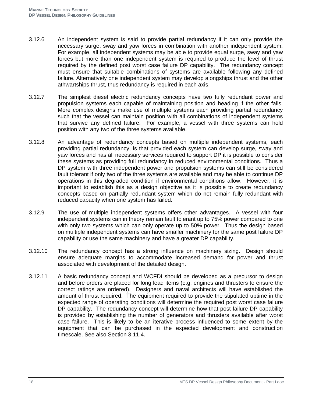- 3.12.6 An independent system is said to provide partial redundancy if it can only provide the necessary surge, sway and yaw forces in combination with another independent system. For example, all independent systems may be able to provide equal surge, sway and yaw forces but more than one independent system is required to produce the level of thrust required by the defined post worst case failure DP capability. The redundancy concept must ensure that suitable combinations of systems are available following any defined failure. Alternatively one independent system may develop alongships thrust and the other athwartships thrust, thus redundancy is required in each axis.
- 3.12.7 The simplest diesel electric redundancy concepts have two fully redundant power and propulsion systems each capable of maintaining position and heading if the other fails. More complex designs make use of multiple systems each providing partial redundancy such that the vessel can maintain position with all combinations of independent systems that survive any defined failure. For example, a vessel with three systems can hold position with any two of the three systems available.
- 3.12.8 An advantage of redundancy concepts based on multiple independent systems, each providing partial redundancy, is that provided each system can develop surge, sway and yaw forces and has all necessary services required to support DP it is possible to consider these systems as providing full redundancy in reduced environmental conditions. Thus a DP system with three independent power and propulsion systems can still be considered fault tolerant if only two of the three systems are available and may be able to continue DP operations in this degraded condition if environmental conditions allow. However, it is important to establish this as a design objective as it is possible to create redundancy concepts based on partially redundant system which do not remain fully redundant with reduced capacity when one system has failed.
- 3.12.9 The use of multiple independent systems offers other advantages. A vessel with four independent systems can in theory remain fault tolerant up to 75% power compared to one with only two systems which can only operate up to 50% power. Thus the design based on multiple independent systems can have smaller machinery for the same post failure DP capability or use the same machinery and have a greater DP capability.
- 3.12.10 The redundancy concept has a strong influence on machinery sizing. Design should ensure adequate margins to accommodate increased demand for power and thrust associated with development of the detailed design.
- 3.12.11 A basic redundancy concept and WCFDI should be developed as a precursor to design and before orders are placed for long lead items (e.g. engines and thrusters to ensure the correct ratings are ordered). Designers and naval architects will have established the amount of thrust required. The equipment required to provide the stipulated uptime in the expected range of operating conditions will determine the required post worst case failure DP capability. The redundancy concept will determine how that post failure DP capability is provided by establishing the number of generators and thrusters available after worst case failure. This is likely to be an iterative process influenced to some extent by the equipment that can be purchased in the expected development and construction timescale. See also Section 3.11.4.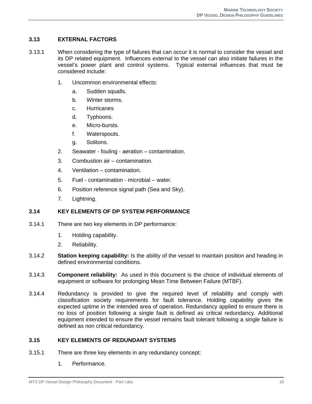## **3.13 EXTERNAL FACTORS**

- 3.13.1 When considering the type of failures that can occur it is normal to consider the vessel and its DP related equipment. Influences external to the vessel can also initiate failures in the vessel's power plant and control systems. Typical external influences that must be considered include:
	- 1. Uncommon environmental effects:
		- a. Sudden squalls.
		- b. Winter storms.
		- c. Hurricanes
		- d. Typhoons.
		- e. Micro-bursts.
		- f. Waterspouts.
		- g. Solitons.
	- 2. Seawater fouling aeration contamination.
	- 3. Combustion air contamination.
	- 4. Ventilation contamination.
	- 5. Fuel contamination microbial water.
	- 6. Position reference signal path (Sea and Sky).
	- 7. Lightning.

## **3.14 KEY ELEMENTS OF DP SYSTEM PERFORMANCE**

- 3.14.1 There are two key elements in DP performance:
	- 1. Holding capability.
	- 2. Reliability.
- 3.14.2 **Station keeping capability:** Is the ability of the vessel to maintain position and heading in defined environmental conditions.
- 3.14.3 **Component reliability:** As used in this document is the choice of individual elements of equipment or software for prolonging Mean Time Between Failure (MTBF).
- 3.14.4 Redundancy is provided to give the required level of reliability and comply with classification society requirements for fault tolerance. Holding capability gives the expected uptime in the intended area of operation. Redundancy applied to ensure there is no loss of position following a single fault is defined as critical redundancy. Additional equipment intended to ensure the vessel remains fault tolerant following a single failure is defined as non critical redundancy.

## **3.15 KEY ELEMENTS OF REDUNDANT SYSTEMS**

- 3.15.1 There are three key elements in any redundancy concept:
	- 1. Performance.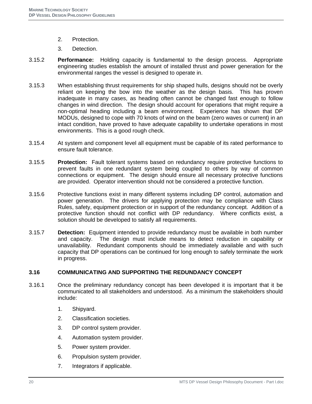- 2. Protection.
- 3. Detection.
- 3.15.2 **Performance:** Holding capacity is fundamental to the design process. Appropriate engineering studies establish the amount of installed thrust and power generation for the environmental ranges the vessel is designed to operate in.
- 3.15.3 When establishing thrust requirements for ship shaped hulls, designs should not be overly reliant on keeping the bow into the weather as the design basis. This has proven inadequate in many cases, as heading often cannot be changed fast enough to follow changes in wind direction. The design should account for operations that might require a non-optimal heading including a beam environment. Experience has shown that DP MODUs, designed to cope with 70 knots of wind on the beam (zero waves or current) in an intact condition, have proved to have adequate capability to undertake operations in most environments. This is a good rough check.
- 3.15.4 At system and component level all equipment must be capable of its rated performance to ensure fault tolerance.
- 3.15.5 **Protection:** Fault tolerant systems based on redundancy require protective functions to prevent faults in one redundant system being coupled to others by way of common connections or equipment. The design should ensure all necessary protective functions are provided. Operator intervention should not be considered a protective function.
- 3.15.6 Protective functions exist in many different systems including DP control, automation and power generation. The drivers for applying protection may be compliance with Class Rules, safety, equipment protection or in support of the redundancy concept. Addition of a protective function should not conflict with DP redundancy. Where conflicts exist, a solution should be developed to satisfy all requirements.
- 3.15.7 **Detection:** Equipment intended to provide redundancy must be available in both number and capacity. The design must include means to detect reduction in capability or unavailability. Redundant components should be immediately available and with such capacity that DP operations can be continued for long enough to safely terminate the work in progress.

## **3.16 COMMUNICATING AND SUPPORTING THE REDUNDANCY CONCEPT**

- 3.16.1 Once the preliminary redundancy concept has been developed it is important that it be communicated to all stakeholders and understood. As a minimum the stakeholders should include:
	- 1. Shipyard.
	- 2. Classification societies.
	- 3. DP control system provider.
	- 4. Automation system provider.
	- 5. Power system provider.
	- 6. Propulsion system provider.
	- 7. Integrators if applicable.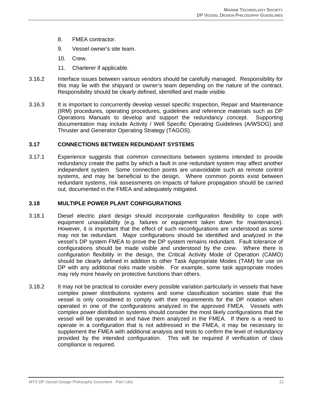- 8. FMEA contractor.
- 9. Vessel owner's site team.
- 10. Crew.
- 11. Charterer if applicable.
- 3.16.2 Interface issues between various vendors should be carefully managed. Responsibility for this may lie with the shipyard or owner's team depending on the nature of the contract. Responsibility should be clearly defined, identified and made visible.
- 3.16.3 It is important to concurrently develop vessel specific Inspection, Repair and Maintenance (IRM) procedures, operating procedures, guidelines and reference materials such as DP Operations Manuals to develop and support the redundancy concept. Supporting documentation may include Activity / Well Specific Operating Guidelines (A/WSOG) and Thruster and Generator Operating Strategy (TAGOS).

#### **3.17 CONNECTIONS BETWEEN REDUNDANT SYSTEMS**

3.17.1 Experience suggests that common connections between systems intended to provide redundancy create the paths by which a fault in one redundant system may affect another independent system. Some connection points are unavoidable such as remote control systems, and may be beneficial to the design. Where common points exist between redundant systems, risk assessments on impacts of failure propagation should be carried out, documented in the FMEA and adequately mitigated.

#### **3.18 MULTIPLE POWER PLANT CONFIGURATIONS**

- 3.18.1 Diesel electric plant design should incorporate configuration flexibility to cope with equipment unavailability (e.g. failures or equipment taken down for maintenance). However, it is important that the effect of such reconfigurations are understood as some may not be redundant. Major configurations should be identified and analyzed in the vessel's DP system FMEA to prove the DP system remains redundant. Fault tolerance of configurations should be made visible and understood by the crew. Where there is configuration flexibility in the design, the Critical Activity Mode of Operation (CAMO) should be clearly defined in addition to other Task Appropriate Modes (TAM) for use on DP with any additional risks made visible. For example, some task appropriate modes may rely more heavily on protective functions than others.
- 3.18.2 It may not be practical to consider every possible variation particularly in vessels that have complex power distributions systems and some classification societies state that the vessel is only considered to comply with their requirements for the DP notation when operated in one of the configurations analyzed in the approved FMEA. Vessels with complex power distribution systems should consider the most likely configurations that the vessel will be operated in and have them analyzed in the FMEA. If there is a need to operate in a configuration that is not addressed in the FMEA, it may be necessary to supplement the FMEA with additional analysis and tests to confirm the level of redundancy provided by the intended configuration. This will be required if verification of class compliance is required.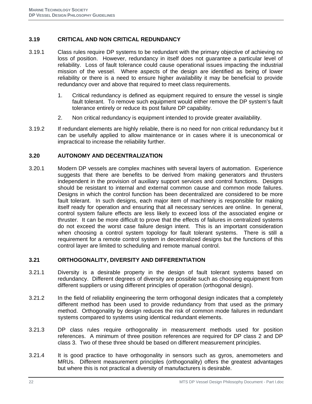## **3.19 CRITICAL AND NON CRITICAL REDUNDANCY**

- 3.19.1 Class rules require DP systems to be redundant with the primary objective of achieving no loss of position. However, redundancy in itself does not guarantee a particular level of reliability. Loss of fault tolerance could cause operational issues impacting the industrial mission of the vessel. Where aspects of the design are identified as being of lower reliability or there is a need to ensure higher availability it may be beneficial to provide redundancy over and above that required to meet class requirements.
	- 1. Critical redundancy is defined as equipment required to ensure the vessel is single fault tolerant. To remove such equipment would either remove the DP system's fault tolerance entirely or reduce its post failure DP capability.
	- 2. Non critical redundancy is equipment intended to provide greater availability.
- 3.19.2 If redundant elements are highly reliable, there is no need for non critical redundancy but it can be usefully applied to allow maintenance or in cases where it is uneconomical or impractical to increase the reliability further.

## **3.20 AUTONOMY AND DECENTRALIZATION**

3.20.1 Modern DP vessels are complex machines with several layers of automation. Experience suggests that there are benefits to be derived from making generators and thrusters independent in the provision of auxiliary support services and control functions. Designs should be resistant to internal and external common cause and common mode failures. Designs in which the control function has been decentralized are considered to be more fault tolerant. In such designs, each major item of machinery is responsible for making itself ready for operation and ensuring that all necessary services are online. In general, control system failure effects are less likely to exceed loss of the associated engine or thruster. It can be more difficult to prove that the effects of failures in centralized systems do not exceed the worst case failure design intent. This is an important consideration when choosing a control system topology for fault tolerant systems. There is still a requirement for a remote control system in decentralized designs but the functions of this control layer are limited to scheduling and remote manual control.

## **3.21 ORTHOGONALITY, DIVERSITY AND DIFFERENTIATION**

- 3.21.1 Diversity is a desirable property in the design of fault tolerant systems based on redundancy. Different degrees of diversity are possible such as choosing equipment from different suppliers or using different principles of operation (orthogonal design).
- 3.21.2 In the field of reliability engineering the term orthogonal design indicates that a completely different method has been used to provide redundancy from that used as the primary method. Orthogonality by design reduces the risk of common mode failures in redundant systems compared to systems using identical redundant elements.
- 3.21.3 DP class rules require orthogonality in measurement methods used for position references. A minimum of three position references are required for DP class 2 and DP class 3. Two of these three should be based on different measurement principles.
- 3.21.4 It is good practice to have orthogonality in sensors such as gyros, anemometers and MRUs. Different measurement principles (orthogonality) offers the greatest advantages but where this is not practical a diversity of manufacturers is desirable.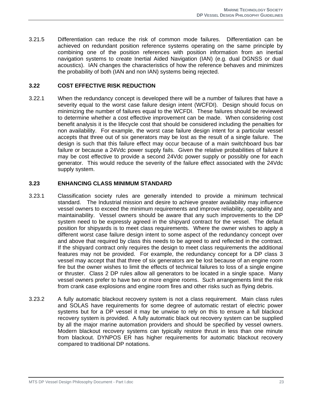3.21.5 Differentiation can reduce the risk of common mode failures. Differentiation can be achieved on redundant position reference systems operating on the same principle by combining one of the position references with position information from an inertial navigation systems to create Inertial Aided Navigation (IAN) (e.g. dual DGNSS or dual acoustics). IAN changes the characteristics of how the reference behaves and minimizes the probability of both (IAN and non IAN) systems being rejected.

#### **3.22 COST EFFECTIVE RISK REDUCTION**

3.22.1 When the redundancy concept is developed there will be a number of failures that have a severity equal to the worst case failure design intent (WCFDI). Design should focus on minimizing the number of failures equal to the WCFDI. These failures should be reviewed to determine whether a cost effective improvement can be made. When considering cost benefit analysis it is the lifecycle cost that should be considered including the penalties for non availability. For example, the worst case failure design intent for a particular vessel accepts that three out of six generators may be lost as the result of a single failure. The design is such that this failure effect may occur because of a main switchboard bus bar failure or because a 24Vdc power supply fails. Given the relative probabilities of failure it may be cost effective to provide a second 24Vdc power supply or possibly one for each generator. This would reduce the severity of the failure effect associated with the 24Vdc supply system.

#### **3.23 ENHANCING CLASS MINIMUM STANDARD**

- 3.23.1 Classification society rules are generally intended to provide a minimum technical standard. The Industrial mission and desire to achieve greater availability may influence vessel owners to exceed the minimum requirements and improve reliability, operability and maintainability. Vessel owners should be aware that any such improvements to the DP system need to be expressly agreed in the shipyard contract for the vessel. The default position for shipyards is to meet class requirements. Where the owner wishes to apply a different worst case failure design intent to some aspect of the redundancy concept over and above that required by class this needs to be agreed to and reflected in the contract. If the shipyard contract only requires the design to meet class requirements the additional features may not be provided. For example, the redundancy concept for a DP class 3 vessel may accept that that three of six generators are be lost because of an engine room fire but the owner wishes to limit the effects of technical failures to loss of a single engine or thruster. Class 2 DP rules allow all generators to be located in a single space. Many vessel owners prefer to have two or more engine rooms. Such arrangements limit the risk from crank case explosions and engine room fires and other risks such as flying debris.
- 3.23.2 A fully automatic blackout recovery system is not a class requirement. Main class rules and SOLAS have requirements for some degree of automatic restart of electric power systems but for a DP vessel it may be unwise to rely on this to ensure a full blackout recovery system is provided. A fully automatic black out recovery system can be supplied by all the major marine automation providers and should be specified by vessel owners. Modern blackout recovery systems can typically restore thrust in less than one minute from blackout. DYNPOS ER has higher requirements for automatic blackout recovery compared to traditional DP notations.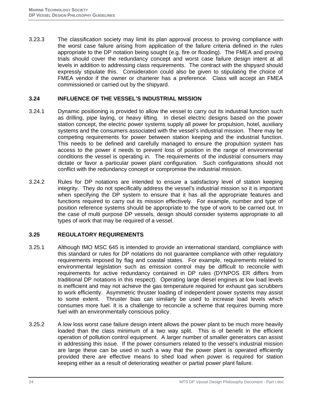3.23.3 The classification society may limit its plan approval process to proving compliance with the worst case failure arising from application of the failure criteria defined in the rules appropriate to the DP notation being sought (e.g. fire or flooding). The FMEA and proving trials should cover the redundancy concept and worst case failure design intent at all levels in addition to addressing class requirements. The contract with the shipyard should expressly stipulate this. Consideration could also be given to stipulating the choice of FMEA vendor if the owner or charterer has a preference. Class will accept an FMEA commissioned or carried out by the shipyard.

## **3.24 INFLUENCE OF THE VESSEL'S INDUSTRIAL MISSION**

- 3.24.1 Dynamic positioning is provided to allow the vessel to carry out its industrial function such as drilling, pipe laying, or heavy lifting. In diesel electric designs based on the power station concept, the electric power systems supply all power for propulsion, hotel, auxiliary systems and the consumers associated with the vessel's industrial mission. There may be competing requirements for power between station keeping and the industrial function. This needs to be defined and carefully managed to ensure the propulsion system has access to the power it needs to prevent loss of position in the range of environmental conditions the vessel is operating in. The requirements of the industrial consumers may dictate or favor a particular power plant configuration. Such configurations should not conflict with the redundancy concept or compromise the industrial mission.
- 3.24.2 Rules for DP notations are intended to ensure a satisfactory level of station keeping integrity. They do not specifically address the vessel's industrial mission so it is important when specifying the DP system to ensure that it has all the appropriate features and functions required to carry out its mission effectively. For example, number and type of position reference systems should be appropriate to the type of work to be carried out. In the case of multi purpose DP vessels, design should consider systems appropriate to all types of work that may be required of a vessel.

## **3.25 REGULATORY REQUIREMENTS**

- 3.25.1 Although IMO MSC 645 is intended to provide an international standard, compliance with this standard or rules for DP notations do not guarantee compliance with other regulatory requirements imposed by flag and coastal states. For example, requirements related to environmental legislation such as emission control may be difficult to reconcile with requirements for active redundancy contained in DP rules (DYNPOS ER differs from traditional DP notations in this respect). Operating large diesel engines at low load levels is inefficient and may not achieve the gas temperature required for exhaust gas scrubbers to work efficiently. Asymmetric thruster loading of independent power systems may assist to some extent. Thruster bias can similarly be used to increase load levels which consumes more fuel. It is a challenge to reconcile a scheme that requires burning more fuel with an environmentally conscious policy.
- 3.25.2 A low loss worst case failure design intent allows the power plant to be much more heavily loaded than the class minimum of a two way split. This is of benefit in the efficient operation of pollution control equipment. A larger number of smaller generators can assist in addressing this issue. If the power consumers related to the vessel's industrial mission are large these can be used in such a way that the power plant is operated efficiently provided there are effective means to shed load when power is required for station keeping either as a result of deteriorating weather or partial power plant failure.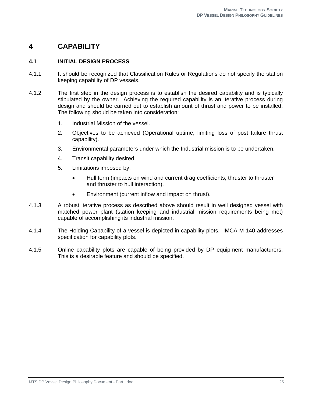## **4 CAPABILITY**

## **4.1 INITIAL DESIGN PROCESS**

- 4.1.1 It should be recognized that Classification Rules or Regulations do not specify the station keeping capability of DP vessels.
- 4.1.2 The first step in the design process is to establish the desired capability and is typically stipulated by the owner. Achieving the required capability is an iterative process during design and should be carried out to establish amount of thrust and power to be installed. The following should be taken into consideration:
	- 1. Industrial Mission of the vessel.
	- 2. Objectives to be achieved (Operational uptime, limiting loss of post failure thrust capability).
	- 3. Environmental parameters under which the Industrial mission is to be undertaken.
	- 4. Transit capability desired.
	- 5. Limitations imposed by:
		- Hull form (impacts on wind and current drag coefficients, thruster to thruster and thruster to hull interaction).
		- Environment (current inflow and impact on thrust).
- 4.1.3 A robust iterative process as described above should result in well designed vessel with matched power plant (station keeping and industrial mission requirements being met) capable of accomplishing its industrial mission.
- 4.1.4 The Holding Capability of a vessel is depicted in capability plots. IMCA M 140 addresses specification for capability plots.
- 4.1.5 Online capability plots are capable of being provided by DP equipment manufacturers. This is a desirable feature and should be specified.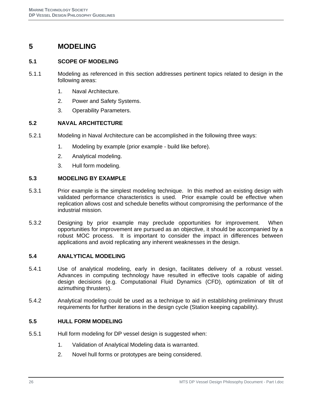## **5 MODELING**

## **5.1 SCOPE OF MODELING**

- 5.1.1 Modeling as referenced in this section addresses pertinent topics related to design in the following areas:
	- 1. Naval Architecture.
	- 2. Power and Safety Systems.
	- 3. Operability Parameters.

## **5.2 NAVAL ARCHITECTURE**

- 5.2.1 Modeling in Naval Architecture can be accomplished in the following three ways:
	- 1. Modeling by example (prior example build like before).
	- 2. Analytical modeling.
	- 3. Hull form modeling.

#### **5.3 MODELING BY EXAMPLE**

- 5.3.1 Prior example is the simplest modeling technique. In this method an existing design with validated performance characteristics is used. Prior example could be effective when replication allows cost and schedule benefits without compromising the performance of the industrial mission.
- 5.3.2 Designing by prior example may preclude opportunities for improvement. When opportunities for improvement are pursued as an objective, it should be accompanied by a robust MOC process. It is important to consider the impact in differences between applications and avoid replicating any inherent weaknesses in the design.

#### **5.4 ANALYTICAL MODELING**

- 5.4.1 Use of analytical modeling, early in design, facilitates delivery of a robust vessel. Advances in computing technology have resulted in effective tools capable of aiding design decisions (e.g. Computational Fluid Dynamics (CFD), optimization of tilt of azimuthing thrusters).
- 5.4.2 Analytical modeling could be used as a technique to aid in establishing preliminary thrust requirements for further iterations in the design cycle (Station keeping capability).

#### **5.5 HULL FORM MODELING**

- 5.5.1 Hull form modeling for DP vessel design is suggested when:
	- 1. Validation of Analytical Modeling data is warranted.
	- 2. Novel hull forms or prototypes are being considered.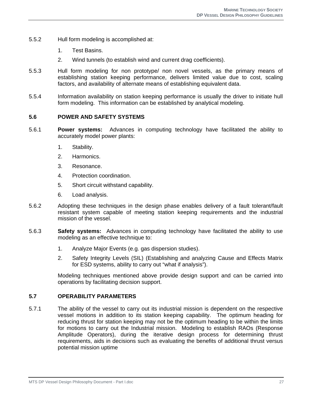- 5.5.2 Hull form modeling is accomplished at:
	- 1. Test Basins.
	- 2. Wind tunnels (to establish wind and current drag coefficients).
- 5.5.3 Hull form modeling for non prototype/ non novel vessels, as the primary means of establishing station keeping performance, delivers limited value due to cost, scaling factors, and availability of alternate means of establishing equivalent data.
- 5.5.4 Information availability on station keeping performance is usually the driver to initiate hull form modeling. This information can be established by analytical modeling.

#### **5.6 POWER AND SAFETY SYSTEMS**

- 5.6.1 **Power systems:** Advances in computing technology have facilitated the ability to accurately model power plants:
	- 1. Stability.
	- 2. Harmonics.
	- 3. Resonance.
	- 4. Protection coordination.
	- 5. Short circuit withstand capability.
	- 6. Load analysis.
- 5.6.2 Adopting these techniques in the design phase enables delivery of a fault tolerant/fault resistant system capable of meeting station keeping requirements and the industrial mission of the vessel.
- 5.6.3 **Safety systems:** Advances in computing technology have facilitated the ability to use modeling as an effective technique to:
	- 1. Analyze Major Events (e.g. gas dispersion studies).
	- 2. Safety Integrity Levels (SIL) (Establishing and analyzing Cause and Effects Matrix for ESD systems, ability to carry out "what if analysis").

Modeling techniques mentioned above provide design support and can be carried into operations by facilitating decision support.

#### **5.7 OPERABILITY PARAMETERS**

5.7.1 The ability of the vessel to carry out its industrial mission is dependent on the respective vessel motions in addition to its station keeping capability. The optimum heading for reducing thrust for station keeping may not be the optimum heading to be within the limits for motions to carry out the Industrial mission. Modeling to establish RAOs (Response Amplitude Operators), during the iterative design process for determining thrust requirements, aids in decisions such as evaluating the benefits of additional thrust versus potential mission uptime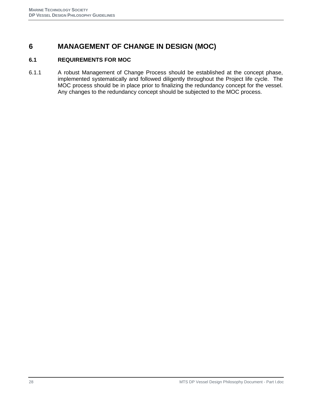## **6 MANAGEMENT OF CHANGE IN DESIGN (MOC)**

## **6.1 REQUIREMENTS FOR MOC**

6.1.1 A robust Management of Change Process should be established at the concept phase, implemented systematically and followed diligently throughout the Project life cycle. The MOC process should be in place prior to finalizing the redundancy concept for the vessel. Any changes to the redundancy concept should be subjected to the MOC process.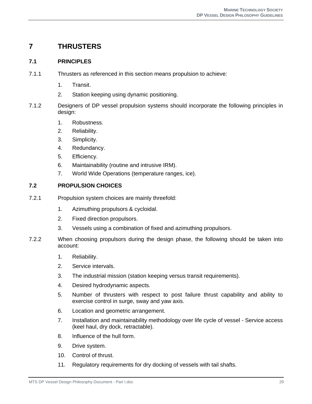## **7 THRUSTERS**

## **7.1 PRINCIPLES**

- 7.1.1 Thrusters as referenced in this section means propulsion to achieve:
	- 1. Transit.
	- 2. Station keeping using dynamic positioning.
- 7.1.2 Designers of DP vessel propulsion systems should incorporate the following principles in design:
	- 1. Robustness.
	- 2. Reliability.
	- 3. Simplicity.
	- 4. Redundancy.
	- 5. Efficiency.
	- 6. Maintainability (routine and intrusive IRM).
	- 7. World Wide Operations (temperature ranges, ice).

## **7.2 PROPULSION CHOICES**

- 7.2.1 Propulsion system choices are mainly threefold:
	- 1. Azimuthing propulsors & cycloidal.
	- 2. Fixed direction propulsors.
	- 3. Vessels using a combination of fixed and azimuthing propulsors.
- 7.2.2 When choosing propulsors during the design phase, the following should be taken into account:
	- 1. Reliability.
	- 2. Service intervals.
	- 3. The industrial mission (station keeping versus transit requirements).
	- 4. Desired hydrodynamic aspects.
	- 5. Number of thrusters with respect to post failure thrust capability and ability to exercise control in surge, sway and yaw axis.
	- 6. Location and geometric arrangement.
	- 7. Installation and maintainability methodology over life cycle of vessel Service access (keel haul, dry dock, retractable).
	- 8. Influence of the hull form.
	- 9. Drive system.
	- 10. Control of thrust.
	- 11. Regulatory requirements for dry docking of vessels with tail shafts.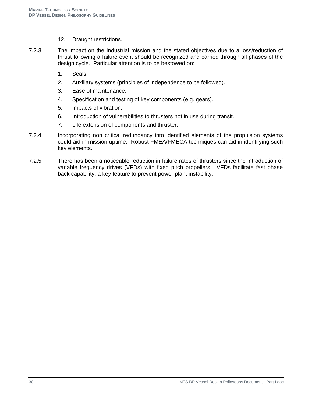- 12. Draught restrictions.
- 7.2.3 The impact on the Industrial mission and the stated objectives due to a loss/reduction of thrust following a failure event should be recognized and carried through all phases of the design cycle. Particular attention is to be bestowed on:
	- 1. Seals.
	- 2. Auxiliary systems (principles of independence to be followed).
	- 3. Ease of maintenance.
	- 4. Specification and testing of key components (e.g. gears).
	- 5. Impacts of vibration.
	- 6. Introduction of vulnerabilities to thrusters not in use during transit.
	- 7. Life extension of components and thruster.
- 7.2.4 Incorporating non critical redundancy into identified elements of the propulsion systems could aid in mission uptime. Robust FMEA/FMECA techniques can aid in identifying such key elements.
- 7.2.5 There has been a noticeable reduction in failure rates of thrusters since the introduction of variable frequency drives (VFDs) with fixed pitch propellers. VFDs facilitate fast phase back capability, a key feature to prevent power plant instability.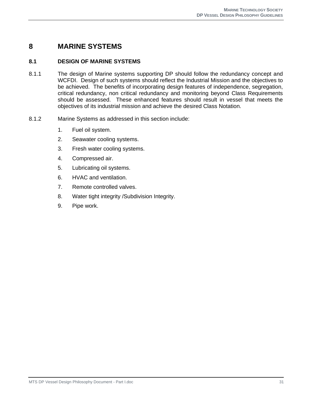## **8 MARINE SYSTEMS**

## **8.1 DESIGN OF MARINE SYSTEMS**

- 8.1.1 The design of Marine systems supporting DP should follow the redundancy concept and WCFDI. Design of such systems should reflect the Industrial Mission and the objectives to be achieved. The benefits of incorporating design features of independence, segregation, critical redundancy, non critical redundancy and monitoring beyond Class Requirements should be assessed. These enhanced features should result in vessel that meets the objectives of its industrial mission and achieve the desired Class Notation.
- 8.1.2 Marine Systems as addressed in this section include:
	- 1. Fuel oil system.
	- 2. Seawater cooling systems.
	- 3. Fresh water cooling systems.
	- 4. Compressed air.
	- 5. Lubricating oil systems.
	- 6. HVAC and ventilation.
	- 7. Remote controlled valves.
	- 8. Water tight integrity /Subdivision Integrity.
	- 9. Pipe work.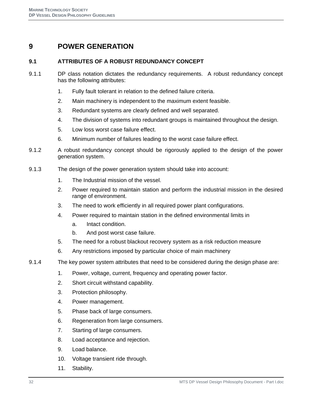## **9 POWER GENERATION**

## **9.1 ATTRIBUTES OF A ROBUST REDUNDANCY CONCEPT**

- 9.1.1 DP class notation dictates the redundancy requirements. A robust redundancy concept has the following attributes:
	- 1. Fully fault tolerant in relation to the defined failure criteria.
	- 2. Main machinery is independent to the maximum extent feasible.
	- 3. Redundant systems are clearly defined and well separated.
	- 4. The division of systems into redundant groups is maintained throughout the design.
	- 5. Low loss worst case failure effect.
	- 6. Minimum number of failures leading to the worst case failure effect.
- 9.1.2 A robust redundancy concept should be rigorously applied to the design of the power generation system.
- 9.1.3 The design of the power generation system should take into account:
	- 1. The Industrial mission of the vessel.
	- 2. Power required to maintain station and perform the industrial mission in the desired range of environment.
	- 3. The need to work efficiently in all required power plant configurations.
	- 4. Power required to maintain station in the defined environmental limits in
		- a. Intact condition.
		- b. And post worst case failure.
	- 5. The need for a robust blackout recovery system as a risk reduction measure
	- 6. Any restrictions imposed by particular choice of main machinery
- 9.1.4 The key power system attributes that need to be considered during the design phase are:
	- 1. Power, voltage, current, frequency and operating power factor.
	- 2. Short circuit withstand capability.
	- 3. Protection philosophy.
	- 4. Power management.
	- 5. Phase back of large consumers.
	- 6. Regeneration from large consumers.
	- 7. Starting of large consumers.
	- 8. Load acceptance and rejection.
	- 9. Load balance.
	- 10. Voltage transient ride through.
	- 11. Stability.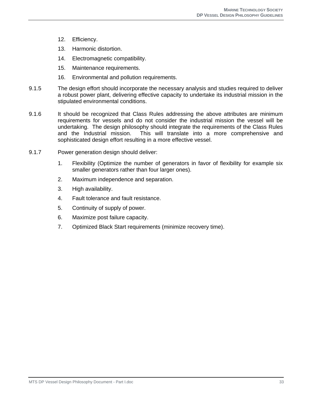- 12. Efficiency.
- 13. Harmonic distortion.
- 14. Electromagnetic compatibility.
- 15. Maintenance requirements.
- 16. Environmental and pollution requirements.
- 9.1.5 The design effort should incorporate the necessary analysis and studies required to deliver a robust power plant, delivering effective capacity to undertake its industrial mission in the stipulated environmental conditions.
- 9.1.6 It should be recognized that Class Rules addressing the above attributes are minimum requirements for vessels and do not consider the industrial mission the vessel will be undertaking. The design philosophy should integrate the requirements of the Class Rules and the Industrial mission. This will translate into a more comprehensive and sophisticated design effort resulting in a more effective vessel.
- 9.1.7 Power generation design should deliver:
	- 1. Flexibility (Optimize the number of generators in favor of flexibility for example six smaller generators rather than four larger ones).
	- 2. Maximum independence and separation.
	- 3. High availability.
	- 4. Fault tolerance and fault resistance.
	- 5. Continuity of supply of power.
	- 6. Maximize post failure capacity.
	- 7. Optimized Black Start requirements (minimize recovery time).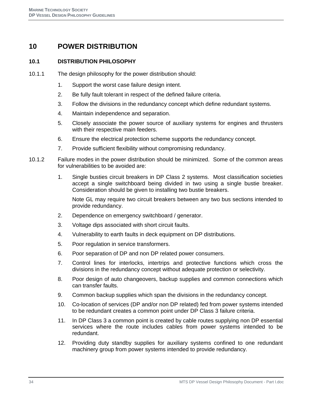## **10 POWER DISTRIBUTION**

## **10.1 DISTRIBUTION PHILOSOPHY**

- 10.1.1 The design philosophy for the power distribution should:
	- 1. Support the worst case failure design intent.
	- 2. Be fully fault tolerant in respect of the defined failure criteria.
	- 3. Follow the divisions in the redundancy concept which define redundant systems.
	- 4. Maintain independence and separation.
	- 5. Closely associate the power source of auxiliary systems for engines and thrusters with their respective main feeders.
	- 6. Ensure the electrical protection scheme supports the redundancy concept.
	- 7. Provide sufficient flexibility without compromising redundancy.
- 10.1.2 Failure modes in the power distribution should be minimized. Some of the common areas for vulnerabilities to be avoided are:
	- 1. Single busties circuit breakers in DP Class 2 systems. Most classification societies accept a single switchboard being divided in two using a single bustie breaker. Consideration should be given to installing two bustie breakers.

Note GL may require two circuit breakers between any two bus sections intended to provide redundancy.

- 2. Dependence on emergency switchboard / generator.
- 3. Voltage dips associated with short circuit faults.
- 4. Vulnerability to earth faults in deck equipment on DP distributions.
- 5. Poor regulation in service transformers.
- 6. Poor separation of DP and non DP related power consumers.
- 7. Control lines for interlocks, intertrips and protective functions which cross the divisions in the redundancy concept without adequate protection or selectivity.
- 8. Poor design of auto changeovers, backup supplies and common connections which can transfer faults.
- 9. Common backup supplies which span the divisions in the redundancy concept.
- 10. Co-location of services (DP and/or non DP related) fed from power systems intended to be redundant creates a common point under DP Class 3 failure criteria.
- 11. In DP Class 3 a common point is created by cable routes supplying non DP essential services where the route includes cables from power systems intended to be redundant.
- 12. Providing duty standby supplies for auxiliary systems confined to one redundant machinery group from power systems intended to provide redundancy.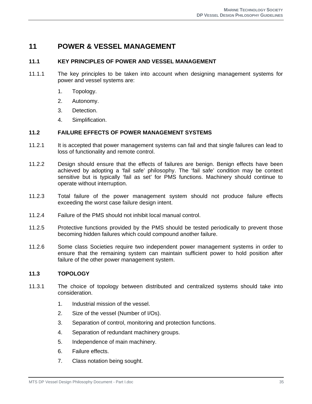## **11 POWER & VESSEL MANAGEMENT**

#### **11.1 KEY PRINCIPLES OF POWER AND VESSEL MANAGEMENT**

- 11.1.1 The key principles to be taken into account when designing management systems for power and vessel systems are:
	- 1. Topology.
	- 2. Autonomy.
	- 3. Detection.
	- 4. Simplification.

#### **11.2 FAILURE EFFECTS OF POWER MANAGEMENT SYSTEMS**

- 11.2.1 It is accepted that power management systems can fail and that single failures can lead to loss of functionality and remote control.
- 11.2.2 Design should ensure that the effects of failures are benign. Benign effects have been achieved by adopting a 'fail safe' philosophy. The 'fail safe' condition may be context sensitive but is typically 'fail as set' for PMS functions. Machinery should continue to operate without interruption.
- 11.2.3 Total failure of the power management system should not produce failure effects exceeding the worst case failure design intent.
- 11.2.4 Failure of the PMS should not inhibit local manual control.
- 11.2.5 Protective functions provided by the PMS should be tested periodically to prevent those becoming hidden failures which could compound another failure.
- 11.2.6 Some class Societies require two independent power management systems in order to ensure that the remaining system can maintain sufficient power to hold position after failure of the other power management system.

## **11.3 TOPOLOGY**

- 11.3.1 The choice of topology between distributed and centralized systems should take into consideration.
	- 1. Industrial mission of the vessel.
	- 2. Size of the vessel (Number of I/Os).
	- 3. Separation of control, monitoring and protection functions.
	- 4. Separation of redundant machinery groups.
	- 5. Independence of main machinery.
	- 6. Failure effects.
	- 7. Class notation being sought.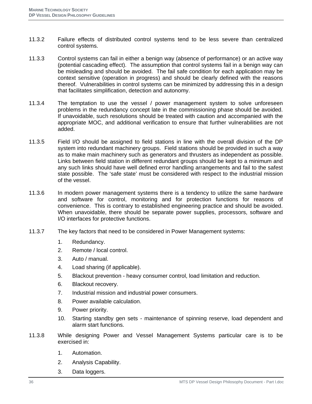- 11.3.2 Failure effects of distributed control systems tend to be less severe than centralized control systems.
- 11.3.3 Control systems can fail in either a benign way (absence of performance) or an active way (potential cascading effect). The assumption that control systems fail in a benign way can be misleading and should be avoided. The fail safe condition for each application may be context sensitive (operation in progress) and should be clearly defined with the reasons thereof. Vulnerabilities in control systems can be minimized by addressing this in a design that facilitates simplification, detection and autonomy.
- 11.3.4 The temptation to use the vessel / power management system to solve unforeseen problems in the redundancy concept late in the commissioning phase should be avoided. If unavoidable, such resolutions should be treated with caution and accompanied with the appropriate MOC, and additional verification to ensure that further vulnerabilities are not added.
- 11.3.5 Field I/O should be assigned to field stations in line with the overall division of the DP system into redundant machinery groups. Field stations should be provided in such a way as to make main machinery such as generators and thrusters as independent as possible. Links between field station in different redundant groups should be kept to a minimum and any such links should have well defined error handling arrangements and fail to the safest state possible. The 'safe state' must be considered with respect to the industrial mission of the vessel.
- 11.3.6 In modern power management systems there is a tendency to utilize the same hardware and software for control, monitoring and for protection functions for reasons of convenience. This is contrary to established engineering practice and should be avoided. When unavoidable, there should be separate power supplies, processors, software and I/O interfaces for protective functions.
- 11.3.7 The key factors that need to be considered in Power Management systems:
	- 1. Redundancy.
	- 2. Remote / local control.
	- 3. Auto / manual.
	- 4. Load sharing (if applicable).
	- 5. Blackout prevention heavy consumer control, load limitation and reduction.
	- 6. Blackout recovery.
	- 7. Industrial mission and industrial power consumers.
	- 8. Power available calculation.
	- 9. Power priority.
	- 10. Starting standby gen sets maintenance of spinning reserve, load dependent and alarm start functions.
- 11.3.8 While designing Power and Vessel Management Systems particular care is to be exercised in:
	- 1. Automation.
	- 2. Analysis Capability.
	- 3. Data loggers.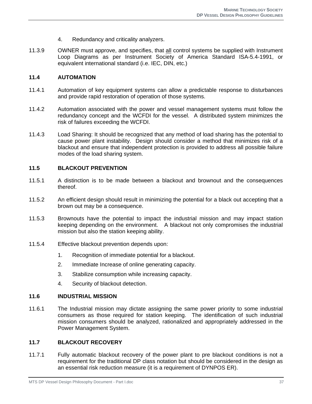- 4. Redundancy and criticality analyzers.
- 11.3.9 OWNER must approve, and specifies, that all control systems be supplied with Instrument Loop Diagrams as per Instrument Society of America Standard ISA-5.4-1991, or equivalent international standard (i.e. IEC, DIN, etc.)

#### **11.4 AUTOMATION**

- 11.4.1 Automation of key equipment systems can allow a predictable response to disturbances and provide rapid restoration of operation of those systems.
- 11.4.2 Automation associated with the power and vessel management systems must follow the redundancy concept and the WCFDI for the vessel. A distributed system minimizes the risk of failures exceeding the WCFDI.
- 11.4.3 Load Sharing: It should be recognized that any method of load sharing has the potential to cause power plant instability. Design should consider a method that minimizes risk of a blackout and ensure that independent protection is provided to address all possible failure modes of the load sharing system.

#### **11.5 BLACKOUT PREVENTION**

- 11.5.1 A distinction is to be made between a blackout and brownout and the consequences thereof.
- 11.5.2 An efficient design should result in minimizing the potential for a black out accepting that a brown out may be a consequence.
- 11.5.3 Brownouts have the potential to impact the industrial mission and may impact station keeping depending on the environment. A blackout not only compromises the industrial mission but also the station keeping ability.
- 11.5.4 Effective blackout prevention depends upon:
	- 1. Recognition of immediate potential for a blackout.
	- 2. Immediate Increase of online generating capacity.
	- 3. Stabilize consumption while increasing capacity.
	- 4. Security of blackout detection.

#### **11.6 INDUSTRIAL MISSION**

11.6.1 The Industrial mission may dictate assigning the same power priority to some industrial consumers as those required for station keeping. The identification of such industrial mission consumers should be analyzed, rationalized and appropriately addressed in the Power Management System.

## **11.7 BLACKOUT RECOVERY**

11.7.1 Fully automatic blackout recovery of the power plant to pre blackout conditions is not a requirement for the traditional DP class notation but should be considered in the design as an essential risk reduction measure (it is a requirement of DYNPOS ER).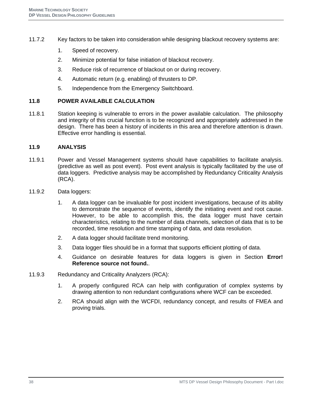- 11.7.2 Key factors to be taken into consideration while designing blackout recovery systems are:
	- 1. Speed of recovery.
	- 2. Minimize potential for false initiation of blackout recovery.
	- 3. Reduce risk of recurrence of blackout on or during recovery.
	- 4. Automatic return (e.g. enabling) of thrusters to DP.
	- 5. Independence from the Emergency Switchboard.

## **11.8 POWER AVAILABLE CALCULATION**

11.8.1 Station keeping is vulnerable to errors in the power available calculation. The philosophy and integrity of this crucial function is to be recognized and appropriately addressed in the design. There has been a history of incidents in this area and therefore attention is drawn. Effective error handling is essential.

#### **11.9 ANALYSIS**

- 11.9.1 Power and Vessel Management systems should have capabilities to facilitate analysis. (predictive as well as post event). Post event analysis is typically facilitated by the use of data loggers. Predictive analysis may be accomplished by Redundancy Criticality Analysis (RCA).
- 11.9.2 Data loggers:
	- 1. A data logger can be invaluable for post incident investigations, because of its ability to demonstrate the sequence of events, identify the initiating event and root cause. However, to be able to accomplish this, the data logger must have certain characteristics, relating to the number of data channels, selection of data that is to be recorded, time resolution and time stamping of data, and data resolution.
	- 2. A data logger should facilitate trend monitoring.
	- 3. Data logger files should be in a format that supports efficient plotting of data.
	- 4. Guidance on desirable features for data loggers is given in Section **Error! Reference source not found.**.
- 11.9.3 Redundancy and Criticality Analyzers (RCA):
	- 1. A properly configured RCA can help with configuration of complex systems by drawing attention to non redundant configurations where WCF can be exceeded.
	- 2. RCA should align with the WCFDI, redundancy concept, and results of FMEA and proving trials.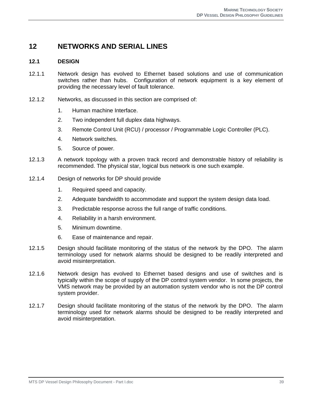## **12 NETWORKS AND SERIAL LINES**

#### **12.1 DESIGN**

- 12.1.1 Network design has evolved to Ethernet based solutions and use of communication switches rather than hubs. Configuration of network equipment is a key element of providing the necessary level of fault tolerance.
- 12.1.2 Networks, as discussed in this section are comprised of:
	- 1. Human machine Interface.
	- 2. Two independent full duplex data highways.
	- 3. Remote Control Unit (RCU) / processor / Programmable Logic Controller (PLC).
	- 4. Network switches.
	- 5. Source of power.
- 12.1.3 A network topology with a proven track record and demonstrable history of reliability is recommended. The physical star, logical bus network is one such example.
- 12.1.4 Design of networks for DP should provide
	- 1. Required speed and capacity.
	- 2. Adequate bandwidth to accommodate and support the system design data load.
	- 3. Predictable response across the full range of traffic conditions.
	- 4. Reliability in a harsh environment.
	- 5. Minimum downtime.
	- 6. Ease of maintenance and repair.
- 12.1.5 Design should facilitate monitoring of the status of the network by the DPO. The alarm terminology used for network alarms should be designed to be readily interpreted and avoid misinterpretation.
- 12.1.6 Network design has evolved to Ethernet based designs and use of switches and is typically within the scope of supply of the DP control system vendor. In some projects, the VMS network may be provided by an automation system vendor who is not the DP control system provider.
- 12.1.7 Design should facilitate monitoring of the status of the network by the DPO. The alarm terminology used for network alarms should be designed to be readily interpreted and avoid misinterpretation.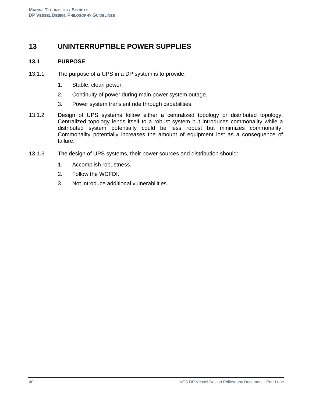## **13 UNINTERRUPTIBLE POWER SUPPLIES**

## **13.1 PURPOSE**

- 13.1.1 The purpose of a UPS in a DP system is to provide:
	- 1. Stable, clean power.
	- 2. Continuity of power during main power system outage.
	- 3. Power system transient ride through capabilities.
- 13.1.2 Design of UPS systems follow either a centralized topology or distributed topology. Centralized topology lends itself to a robust system but introduces commonality while a distributed system potentially could be less robust but minimizes commonality. Commonality potentially increases the amount of equipment lost as a consequence of failure.
- 13.1.3 The design of UPS systems, their power sources and distribution should:
	- 1. Accomplish robustness.
	- 2. Follow the WCFDI.
	- 3. Not introduce additional vulnerabilities.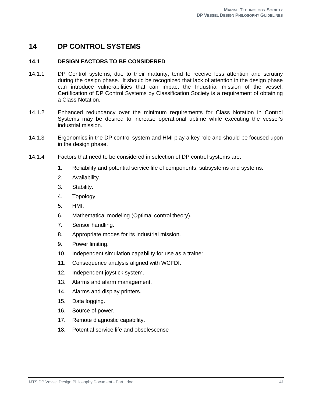## **14 DP CONTROL SYSTEMS**

## **14.1 DESIGN FACTORS TO BE CONSIDERED**

- 14.1.1 DP Control systems, due to their maturity, tend to receive less attention and scrutiny during the design phase. It should be recognized that lack of attention in the design phase can introduce vulnerabilities that can impact the Industrial mission of the vessel. Certification of DP Control Systems by Classification Society is a requirement of obtaining a Class Notation.
- 14.1.2 Enhanced redundancy over the minimum requirements for Class Notation in Control Systems may be desired to increase operational uptime while executing the vessel's industrial mission.
- 14.1.3 Ergonomics in the DP control system and HMI play a key role and should be focused upon in the design phase.
- 14.1.4 Factors that need to be considered in selection of DP control systems are:
	- 1. Reliability and potential service life of components, subsystems and systems.
	- 2. Availability.
	- 3. Stability.
	- 4. Topology.
	- 5. HMI.
	- 6. Mathematical modeling (Optimal control theory).
	- 7. Sensor handling.
	- 8. Appropriate modes for its industrial mission.
	- 9. Power limiting.
	- 10. Independent simulation capability for use as a trainer.
	- 11. Consequence analysis aligned with WCFDI.
	- 12. Independent joystick system.
	- 13. Alarms and alarm management.
	- 14. Alarms and display printers.
	- 15. Data logging.
	- 16. Source of power.
	- 17. Remote diagnostic capability.
	- 18. Potential service life and obsolescense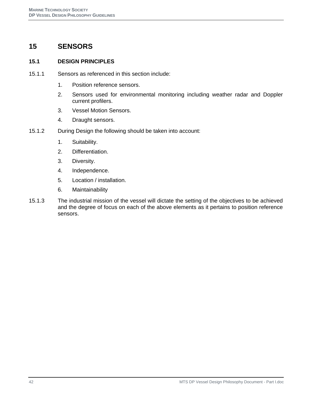## **15 SENSORS**

## **15.1 DESIGN PRINCIPLES**

- 15.1.1 Sensors as referenced in this section include:
	- 1. Position reference sensors.
	- 2. Sensors used for environmental monitoring including weather radar and Doppler current profilers.
	- 3. Vessel Motion Sensors.
	- 4. Draught sensors.
- 15.1.2 During Design the following should be taken into account:
	- 1. Suitability.
	- 2. Differentiation.
	- 3. Diversity.
	- 4. Independence.
	- 5. Location / installation.
	- 6. Maintainability
- 15.1.3 The industrial mission of the vessel will dictate the setting of the objectives to be achieved and the degree of focus on each of the above elements as it pertains to position reference sensors.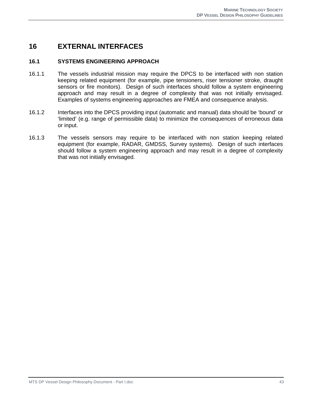## **16 EXTERNAL INTERFACES**

## **16.1 SYSTEMS ENGINEERING APPROACH**

- 16.1.1 The vessels industrial mission may require the DPCS to be interfaced with non station keeping related equipment (for example, pipe tensioners, riser tensioner stroke, draught sensors or fire monitors). Design of such interfaces should follow a system engineering approach and may result in a degree of complexity that was not initially envisaged. Examples of systems engineering approaches are FMEA and consequence analysis.
- 16.1.2 Interfaces into the DPCS providing input (automatic and manual) data should be 'bound' or 'limited' (e.g. range of permissible data) to minimize the consequences of erroneous data or input.
- 16.1.3 The vessels sensors may require to be interfaced with non station keeping related equipment (for example, RADAR, GMDSS, Survey systems). Design of such interfaces should follow a system engineering approach and may result in a degree of complexity that was not initially envisaged.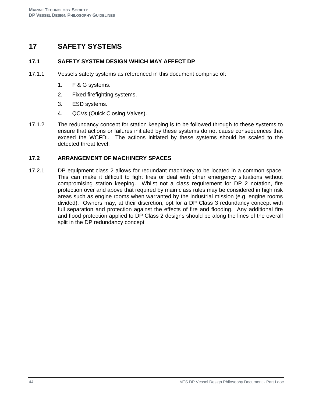## **17 SAFETY SYSTEMS**

## **17.1 SAFETY SYSTEM DESIGN WHICH MAY AFFECT DP**

- 17.1.1 Vessels safety systems as referenced in this document comprise of:
	- 1. F & G systems.
	- 2. Fixed firefighting systems.
	- 3. ESD systems.
	- 4. QCVs (Quick Closing Valves).
- 17.1.2 The redundancy concept for station keeping is to be followed through to these systems to ensure that actions or failures initiated by these systems do not cause consequences that exceed the WCFDI. The actions initiated by these systems should be scaled to the detected threat level.

## **17.2 ARRANGEMENT OF MACHINERY SPACES**

17.2.1 DP equipment class 2 allows for redundant machinery to be located in a common space. This can make it difficult to fight fires or deal with other emergency situations without compromising station keeping. Whilst not a class requirement for DP 2 notation, fire protection over and above that required by main class rules may be considered in high risk areas such as engine rooms when warranted by the industrial mission (e.g. engine rooms divided). Owners may, at their discretion, opt for a DP Class 3 redundancy concept with full separation and protection against the effects of fire and flooding. Any additional fire and flood protection applied to DP Class 2 designs should be along the lines of the overall split in the DP redundancy concept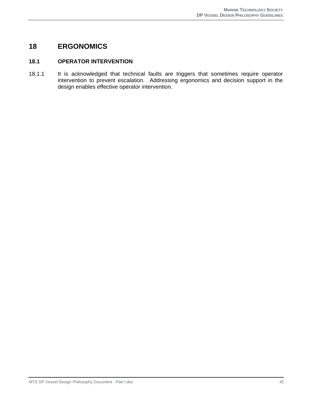## **18 ERGONOMICS**

#### **18.1 OPERATOR INTERVENTION**

18.1.1 It is acknowledged that technical faults are triggers that sometimes require operator intervention to prevent escalation. Addressing ergonomics and decision support in the design enables effective operator intervention.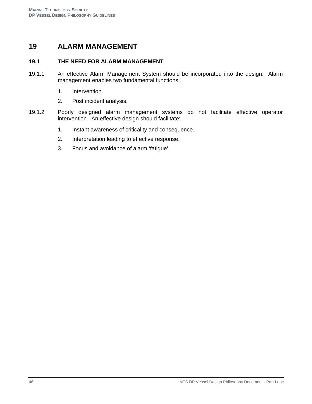## **19 ALARM MANAGEMENT**

## **19.1 THE NEED FOR ALARM MANAGEMENT**

- 19.1.1 An effective Alarm Management System should be incorporated into the design. Alarm management enables two fundamental functions:
	- 1. Intervention.
	- 2. Post incident analysis.
- 19.1.2 Poorly designed alarm management systems do not facilitate effective operator intervention. An effective design should facilitate:
	- 1. Instant awareness of criticality and consequence.
	- 2. Interpretation leading to effective response.
	- 3. Focus and avoidance of alarm 'fatigue'.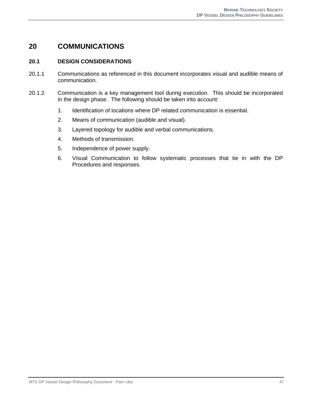## **20 COMMUNICATIONS**

## **20.1 DESIGN CONSIDERATIONS**

- 20.1.1 Communications as referenced in this document incorporates visual and audible means of communication.
- 20.1.2 Communication is a key management tool during execution. This should be incorporated in the design phase. The following should be taken into account:
	- 1. Identification of locations where DP related communication is essential.
	- 2. Means of communication (audible and visual).
	- 3. Layered topology for audible and verbal communications.
	- 4. Methods of transmission.
	- 5. Independence of power supply.
	- 6. Visual Communication to follow systematic processes that tie in with the DP Procedures and responses.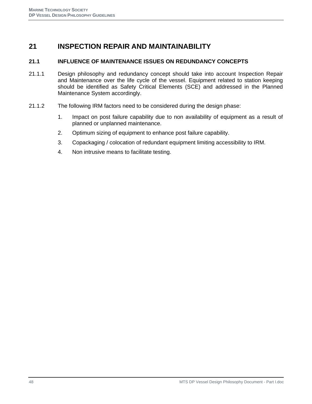## **21 INSPECTION REPAIR AND MAINTAINABILITY**

## **21.1 INFLUENCE OF MAINTENANCE ISSUES ON REDUNDANCY CONCEPTS**

- 21.1.1 Design philosophy and redundancy concept should take into account Inspection Repair and Maintenance over the life cycle of the vessel. Equipment related to station keeping should be identified as Safety Critical Elements (SCE) and addressed in the Planned Maintenance System accordingly.
- 21.1.2 The following IRM factors need to be considered during the design phase:
	- 1. Impact on post failure capability due to non availability of equipment as a result of planned or unplanned maintenance.
	- 2. Optimum sizing of equipment to enhance post failure capability.
	- 3. Copackaging / colocation of redundant equipment limiting accessibility to IRM.
	- 4. Non intrusive means to facilitate testing.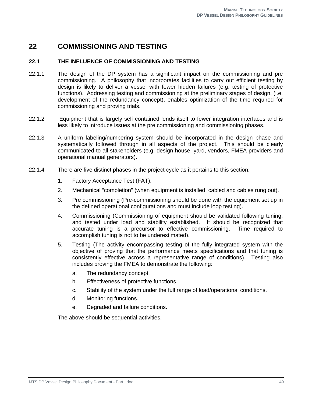## **22 COMMISSIONING AND TESTING**

#### **22.1 THE INFLUENCE OF COMMISSIONING AND TESTING**

- 22.1.1 The design of the DP system has a significant impact on the commissioning and pre commissioning. A philosophy that incorporates facilities to carry out efficient testing by design is likely to deliver a vessel with fewer hidden failures (e.g. testing of protective functions). Addressing testing and commissioning at the preliminary stages of design, (i.e. development of the redundancy concept), enables optimization of the time required for commissioning and proving trials.
- 22.1.2 Equipment that is largely self contained lends itself to fewer integration interfaces and is less likely to introduce issues at the pre commissioning and commissioning phases.
- 22.1.3 A uniform labeling/numbering system should be incorporated in the design phase and systematically followed through in all aspects of the project. This should be clearly communicated to all stakeholders (e.g. design house, yard, vendors, FMEA providers and operational manual generators).
- 22.1.4 There are five distinct phases in the project cycle as it pertains to this section:
	- 1. Factory Acceptance Test (FAT).
	- 2. Mechanical "completion" (when equipment is installed, cabled and cables rung out).
	- 3. Pre commissioning (Pre-commissioning should be done with the equipment set up in the defined operational configurations and must include loop testing).
	- 4. Commissioning (Commissioning of equipment should be validated following tuning, and tested under load and stability established. It should be recognized that accurate tuning is a precursor to effective commissioning. Time required to accomplish tuning is not to be underestimated).
	- 5. Testing (The activity encompassing testing of the fully integrated system with the objective of proving that the performance meets specifications and that tuning is consistently effective across a representative range of conditions). Testing also includes proving the FMEA to demonstrate the following:
		- a. The redundancy concept.
		- b. Effectiveness of protective functions.
		- c. Stability of the system under the full range of load/operational conditions.
		- d. Monitoring functions.
		- e. Degraded and failure conditions.

The above should be sequential activities.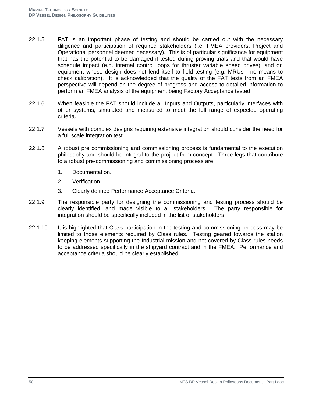- 22.1.5 FAT is an important phase of testing and should be carried out with the necessary diligence and participation of required stakeholders (i.e. FMEA providers, Project and Operational personnel deemed necessary). This is of particular significance for equipment that has the potential to be damaged if tested during proving trials and that would have schedule impact (e.g. internal control loops for thruster variable speed drives), and on equipment whose design does not lend itself to field testing (e.g. MRUs - no means to check calibration). It is acknowledged that the quality of the FAT tests from an FMEA perspective will depend on the degree of progress and access to detailed information to perform an FMEA analysis of the equipment being Factory Acceptance tested.
- 22.1.6 When feasible the FAT should include all Inputs and Outputs, particularly interfaces with other systems, simulated and measured to meet the full range of expected operating criteria.
- 22.1.7 Vessels with complex designs requiring extensive integration should consider the need for a full scale integration test.
- 22.1.8 A robust pre commissioning and commissioning process is fundamental to the execution philosophy and should be integral to the project from concept. Three legs that contribute to a robust pre-commissioning and commissioning process are:
	- 1. Documentation.
	- 2. Verification.
	- 3. Clearly defined Performance Acceptance Criteria.
- 22.1.9 The responsible party for designing the commissioning and testing process should be clearly identified, and made visible to all stakeholders. The party responsible for integration should be specifically included in the list of stakeholders.
- 22.1.10 It is highlighted that Class participation in the testing and commissioning process may be limited to those elements required by Class rules. Testing geared towards the station keeping elements supporting the Industrial mission and not covered by Class rules needs to be addressed specifically in the shipyard contract and in the FMEA. Performance and acceptance criteria should be clearly established.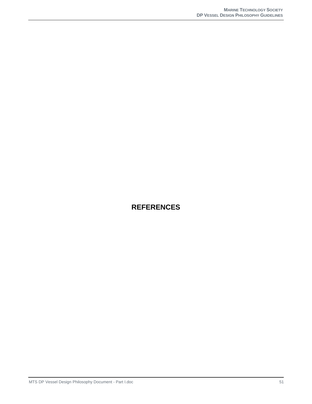## **REFERENCES**